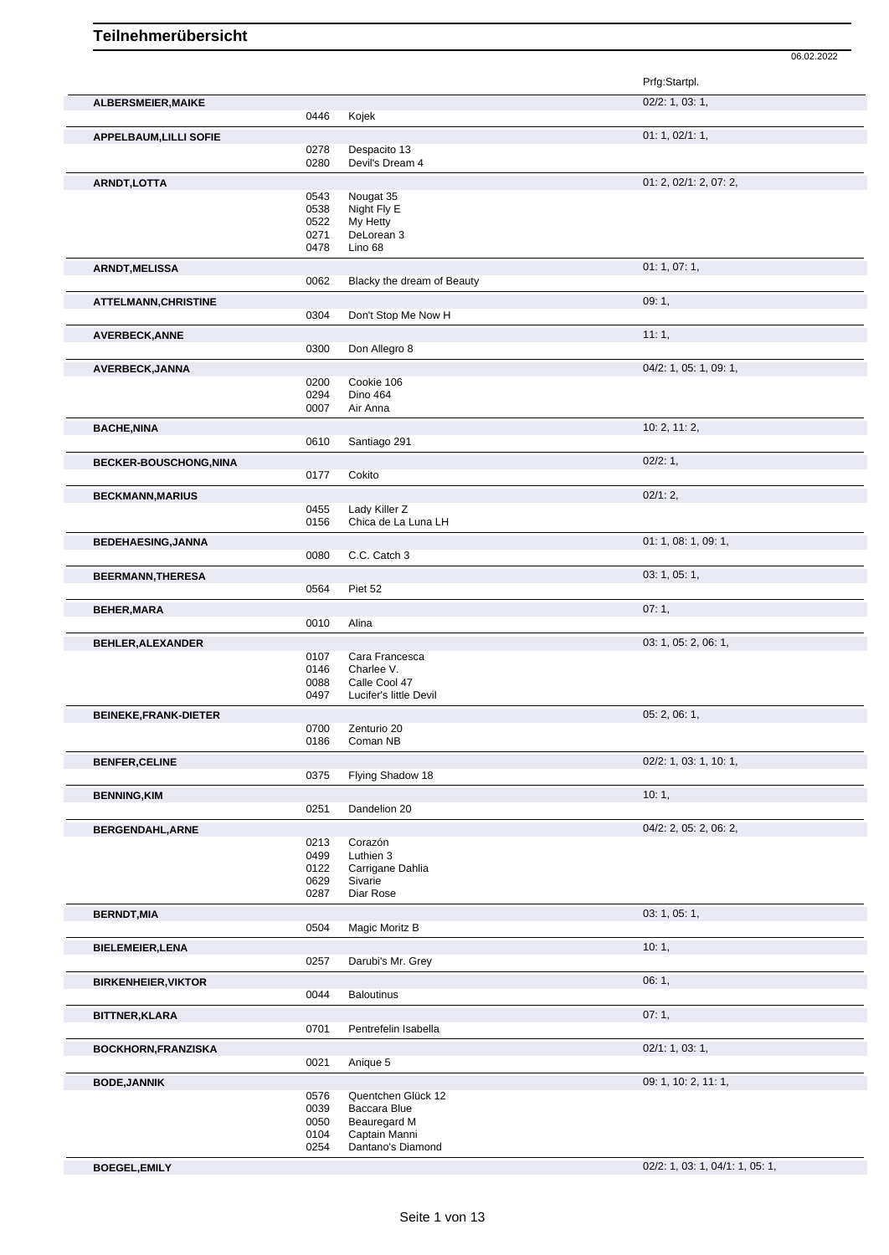**ALBERSMEIER,MAIKE** 02/2: 1, 03: 1, 0446 Kojek **APPELBAUM,LILLI SOFIE** 01: 1, 02/1: 1, 0278 Despacito 13<br>0280 Devil's Dream Devil's Dream 4 **ARNDT, LOTTA** 01: 2, 02/1: 2, 07: 2, 07: 2, 0543 Nougat 35 0543 Nougat 35<br>0538 Night Fly E 0538 Night Fly E<br>0522 My Hetty 0522 My Hetty<br>0271 DeLorear 0271 DeLorean 3<br>0478 Lino 68 Lino 68 **ARNDT, MELISSA** 01: 1, 07: 1, 07: 1, 07: 1, 07: 1, 07: 1, 07: 1, 07: 1, 07: 1, 07: 1, 07: 1, 07: 1, 07: 1, 07: 1, Blacky the dream of Beauty **ATTELMANN, CHRISTINE** 09: 1, 0304 Don't Stop Me Now H Don't Stop Me Now H **AVERBECK,ANNE** 11: 1, 0300 Don Allegro 8 Don Allegro 8 **AVERBECK,JANNA** 0200 Cookie 106<br>
04/2: 1, 05: 1, 09: 1, Cookie 106 0294 Dino 464<br>0007 Air Anna Air Anna **BACHE,NINA** 10: 2, 11: 2, 0610 Santiago 291 **BECKER-BOUSCHONG,NINA** 02/2: 1, Cokito **BECKMANN,MARIUS** 02/1: 2, 0455 Lady Killer Z<br>0156 Chica de La Chica de La Luna LH **BEDEHAESING,JANNA** 0080 **C.C.** Catch 3 0080 **C.C.** Catch 3 C.C. Catch 3 **BEERMANN,THERESA** 03: 1, 05: 1, 05: 1, 05: 1, 05: 1, 05: 1, 05: 1, 05: 1, 05: 1, 05: 1, 05: 1, 05: 1, 05: 1, 05: 1, 05: 1, 05: 1, 05: 1, 05: 1, 05: 1, 05: 1, 05: 1, 05: 1, 05: 1, 05: 1, 05: 1, 05: 1, 05: 1, 05: 1, 05: 1, Piet 52 **BEHER,MARA** 07: 1, Alina **BEHLER,ALEXANDER** 03: 1, 05: 2, 06: 1, 0107 Cara Francesca<br>0146 Charlee V. 0146 Charlee V.<br>0088 Calle Cool 0088 Calle Cool 47<br>0497 Lucifer's little Lucifer's little Devil **BEINEKE,FRANK-DIETER** 0700 Zenturio 20 **CONFER 05: 2, 06: 1,** 05: 2, 06: 1, 0700 Zenturio 20<br>0186 Coman NB Coman NB **BENFER, CELINE** 02/2: 1, 03: 1, 10: 1, 0375 Flying Shadow 18 **BENNING,KIM** 10: 1, 0251 Dandelion 20 **BERGENDAHL,ARNE** 04/2: 2, 05: 2, 06: 2, 0213 Corazón 0499 Luthien 3 0122 Carrigane Dahlia 0629 Sivarie 0287 Diar Rose **BERNDT,MIA** 03: 1, 05: 1, 0504 Magic Moritz B **BIELEMEIER,LENA** 10: 1, 0257 Darubi's Mr. Grey **BIRKENHEIER,VIKTOR** 06: 1, 0044 Baloutinus **BITTNER,KLARA** 07: 1, 07: 1, 07: 1, 07: 1, 07: 1, 07: 1, 07: 1, 07: 1, 07: 1, 07: 1, 07: 1, 07: 1, 07: 1, 07: 1, Pentrefelin Isabella **BOCKHORN,FRANZISKA** 0021 Anique 5 02/1: 1, 03: 1, 03: 1, Anique 5 **BODE,JANNIK** 09: 1, 10: 2, 11: 1, 0. 2, 11: 1, 0. 2, 11: 1, 0. 2, 11: 1, 0. 2, 11: 1, 0. 2, 11: 1, 0. 2, 11: 1, 0576 Quentchen Glück 12<br>0039 Baccara Blue 0039 Baccara Blue<br>0050 Beauregard M 0050 Beauregard M<br>0104 Captain Manni 0104 Captain Manni<br>0254 Dantano's Dian Dantano's Diamond

**BOEGEL,EMILY** 02/2: 1, 03: 1, 04/1: 1, 05: 1,

06.02.2022

Prfg:Startpl.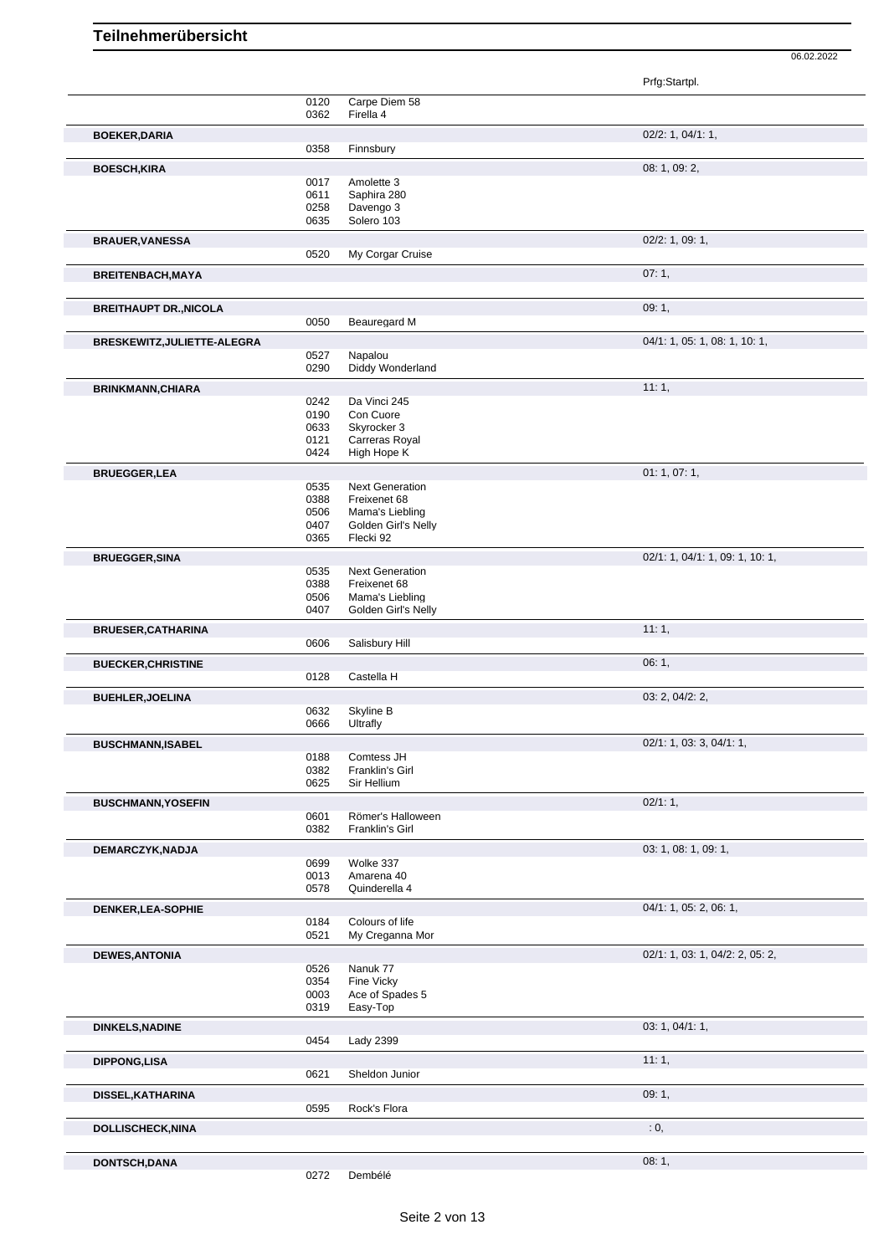Prfg:Startpl. 0120 Carpe Diem 58 0362 Firella 4 **BOEKER, DARIA** 02/2: 1, 04/1: 1, 0358 Finnsbury Finnsbury **BOESCH,KIRA** 08: 1, 09: 2, 0017 Amolette 3 0611 Saphira 280 0258 Davengo 3<br>0635 Solero 103 Solero 103 **BRAUER,VANESSA** 02/2: 1, 09: 1, 0520 My Corgar Cruise **BREITENBACH,MAYA** 07: 1, **BREITHAUPT DR., NICOLA** 0050 **Beauredard M** 09: 1, 09: 1, 09: 1, Beauregard M **BRESKEWITZ,JULIETTE-ALEGRA** 0527 Napalou 0527 04/1: 1, 05: 1, 08: 1, 10: 1, 0527 Napalou<br>0290 Diddy Wo Diddy Wonderland **BRINKMANN, CHIARA** 11: 1, 242 Da Vinci 245 0242 Da Vinci 245<br>0190 Con Cuore 0190 Con Cuore<br>0633 Skyrocker 0633 Skyrocker 3<br>0121 Carreras Ro 0121 Carreras Royal<br>0424 High Hope K High Hope K **BRUEGGER,LEA** 01: 1, 07: 1, 0535 Next Generation<br>0388 Freixenet 68 0388 Freixenet 68<br>0506 Mama's Lieb 0506 Mama's Liebling<br>0407 Golden Girl's Ne 0407 Golden Girl's Nelly<br>0365 Flecki 92 Flecki 92 **BRUEGGER,SINA** 02/1: 1, 04/1: 1, 09: 1, 10: 1, 0535 Next Generation<br>0388 Freixenet 68 Freixenet 68 0506 Mama's Liebling 0407 Golden Girl's Nelly **BRUESER,CATHARINA** 11: 1, 0606 Salisbury Hill **BUECKER, CHRISTINE** 06: 1, 0128 Castella H **BUEHLER,JOELINA** 03: 2, 04/2: 2, 03: 2, 04/2: 2, 05/2 CHER,JOELINA 0632 Skyline B 0632 Skyline B<br>0666 Ultrafly Ultrafly **BUSCHMANN,ISABEL** 02/1: 1, 03: 3, 04/1: 1, 0188 Comtess JH<br>0382 Franklin's Gi 0382 Franklin's Girl<br>0625 Sir Hellium Sir Hellium **BUSCHMANN,YOSEFIN** 02/1: 1, 0601 Römer's Halloween<br>0382 Franklin's Girl Franklin's Girl **DEMARCZYK,NADJA** 03: 1, 08: 1, 09: 1, 09: 1, 09: 1, 09: 1, 09: 1, 09: 1, 09: 1, 09: 1, 09: 1, 09: 1, 09: 1, 09: 1, 0699 Wolke 337<br>0013 Amarena 4 0013 Amarena 40<br>0578 Quinderella Quinderella 4 **DENKER, LEA-SOPHIE** 0184 Colours of life 0184 Colours of life 04/1: 1, 05: 2, 06: 1, Colours of life 0521 My Creganna Mor **DEWES,ANTONIA** 02/1: 1, 03: 1, 04/2: 2, 05: 2, 0526 Nanuk 77 0354 Fine Vicky 0003 Ace of Spades 5<br>0319 Easy-Top Easy-Top **DINKELS,NADINE** 03: 1, 04/1: 1, 0454 Lady 2399 **DIPPONG,LISA** 11: 1, Sheldon Junior **DISSEL,KATHARINA** 09: 1, 0595 Rock's Flora Rock's Flora **DOLLISCHECK,NINA** : 0, **DONTSCH,DANA** 08: 1,

<sup>0272</sup> Dembélé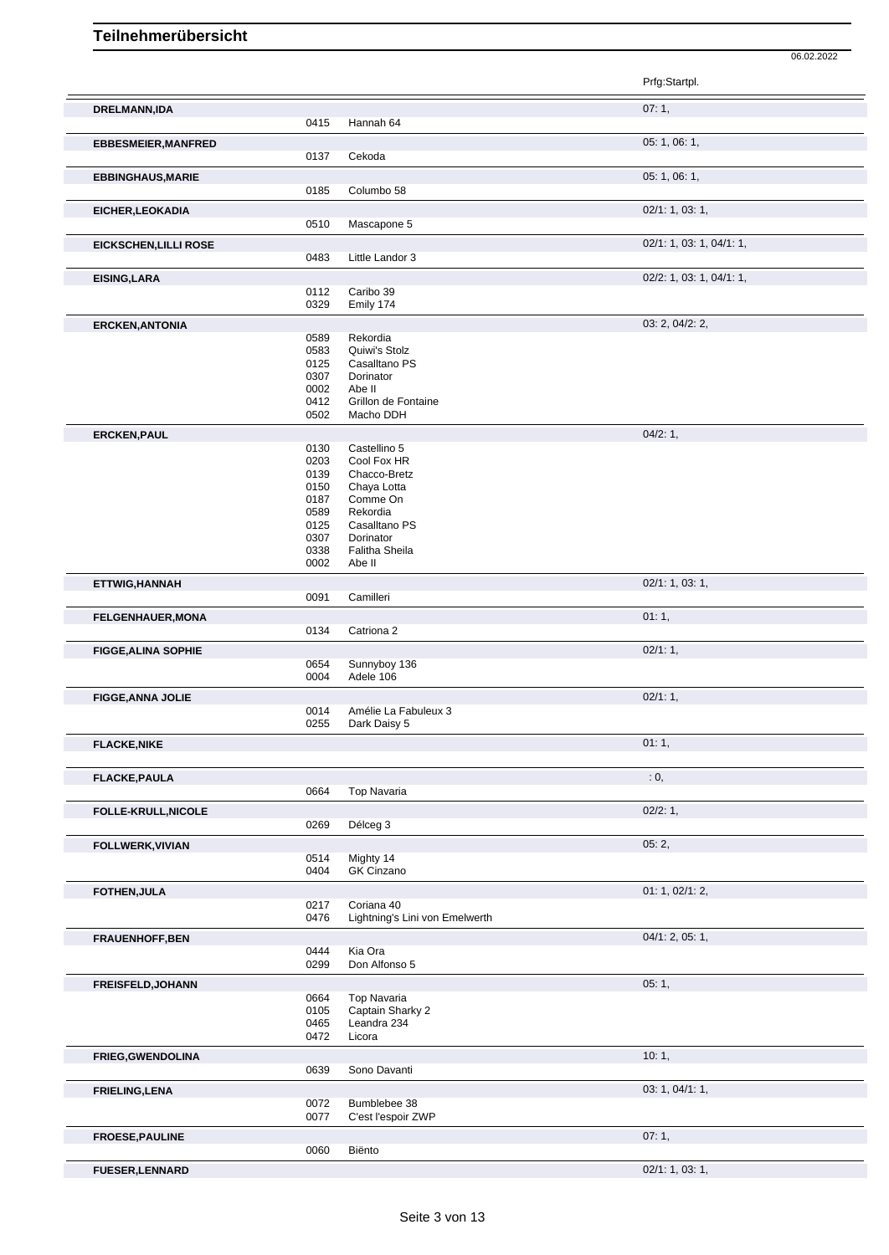|                              |              |                                | Prfg:Startpl.            |
|------------------------------|--------------|--------------------------------|--------------------------|
| <b>DRELMANN,IDA</b>          |              |                                | 07:1,                    |
|                              | 0415         | Hannah 64                      |                          |
| <b>EBBESMEIER, MANFRED</b>   |              |                                | 05: 1, 06: 1,            |
|                              | 0137         | Cekoda                         |                          |
| <b>EBBINGHAUS, MARIE</b>     |              |                                | 05: 1, 06: 1,            |
|                              | 0185         | Columbo 58                     |                          |
| EICHER, LEOKADIA             | 0510         | Mascapone 5                    | 02/1: 1, 03: 1,          |
|                              |              |                                |                          |
| <b>EICKSCHEN, LILLI ROSE</b> | 0483         | Little Landor 3                | 02/1: 1, 03: 1, 04/1: 1, |
| <b>EISING, LARA</b>          |              |                                | 02/2: 1, 03: 1, 04/1: 1, |
|                              | 0112         | Caribo 39                      |                          |
|                              | 0329         | Emily 174                      |                          |
| <b>ERCKEN, ANTONIA</b>       |              |                                | 03: 2, 04/2: 2,          |
|                              | 0589<br>0583 | Rekordia<br>Quiwi's Stolz      |                          |
|                              | 0125         | Casalltano PS                  |                          |
|                              | 0307         | Dorinator                      |                          |
|                              | 0002<br>0412 | Abe II<br>Grillon de Fontaine  |                          |
|                              | 0502         | Macho DDH                      |                          |
| <b>ERCKEN, PAUL</b>          |              |                                | 04/2:1,                  |
|                              | 0130         | Castellino 5                   |                          |
|                              | 0203<br>0139 | Cool Fox HR<br>Chacco-Bretz    |                          |
|                              | 0150         | Chaya Lotta                    |                          |
|                              | 0187         | Comme On                       |                          |
|                              | 0589<br>0125 | Rekordia<br>Casalltano PS      |                          |
|                              | 0307         | Dorinator                      |                          |
|                              | 0338<br>0002 | Falitha Sheila<br>Abe II       |                          |
|                              |              |                                | 02/1: 1, 03: 1,          |
| ETTWIG, HANNAH               | 0091         | Camilleri                      |                          |
| <b>FELGENHAUER, MONA</b>     |              |                                | 01:1,                    |
|                              | 0134         | Catriona <sub>2</sub>          |                          |
| <b>FIGGE, ALINA SOPHIE</b>   |              |                                | 02/1:1,                  |
|                              | 0654         | Sunnyboy 136                   |                          |
|                              | 0004         | Adele 106                      |                          |
| <b>FIGGE, ANNA JOLIE</b>     | 0014         | Amélie La Fabuleux 3           | 02/1:1,                  |
|                              | 0255         | Dark Daisy 5                   |                          |
| <b>FLACKE, NIKE</b>          |              |                                | 01:1,                    |
|                              |              |                                |                          |
| <b>FLACKE, PAULA</b>         |              |                                | : 0,                     |
|                              | 0664         | <b>Top Navaria</b>             |                          |
| FOLLE-KRULL, NICOLE          |              |                                | 02/2:1,                  |
|                              | 0269         | Délceg 3                       |                          |
| FOLLWERK, VIVIAN             |              |                                | 05:2,                    |
|                              | 0514<br>0404 | Mighty 14<br>GK Cinzano        |                          |
|                              |              |                                | 01: 1, 02/1: 2,          |
| FOTHEN, JULA                 | 0217         | Coriana 40                     |                          |
|                              | 0476         | Lightning's Lini von Emelwerth |                          |
| <b>FRAUENHOFF, BEN</b>       |              |                                | 04/1: 2, 05: 1,          |
|                              | 0444         | Kia Ora                        |                          |
|                              | 0299         | Don Alfonso 5                  |                          |
| <b>FREISFELD, JOHANN</b>     | 0664         | Top Navaria                    | 05:1,                    |
|                              | 0105         | Captain Sharky 2               |                          |
|                              | 0465         | Leandra 234                    |                          |
|                              | 0472         | Licora                         |                          |
| <b>FRIEG, GWENDOLINA</b>     |              |                                | 10:1,                    |
|                              | 0639         | Sono Davanti                   |                          |
| <b>FRIELING, LENA</b>        | 0072         | Bumblebee 38                   | 03: 1, 04/1: 1,          |
|                              | 0077         | C'est l'espoir ZWP             |                          |
| <b>FROESE, PAULINE</b>       |              |                                | 07:1,                    |
|                              | 0060         | Biënto                         |                          |
| <b>FUESER, LENNARD</b>       |              |                                | 02/1: 1, 03: 1,          |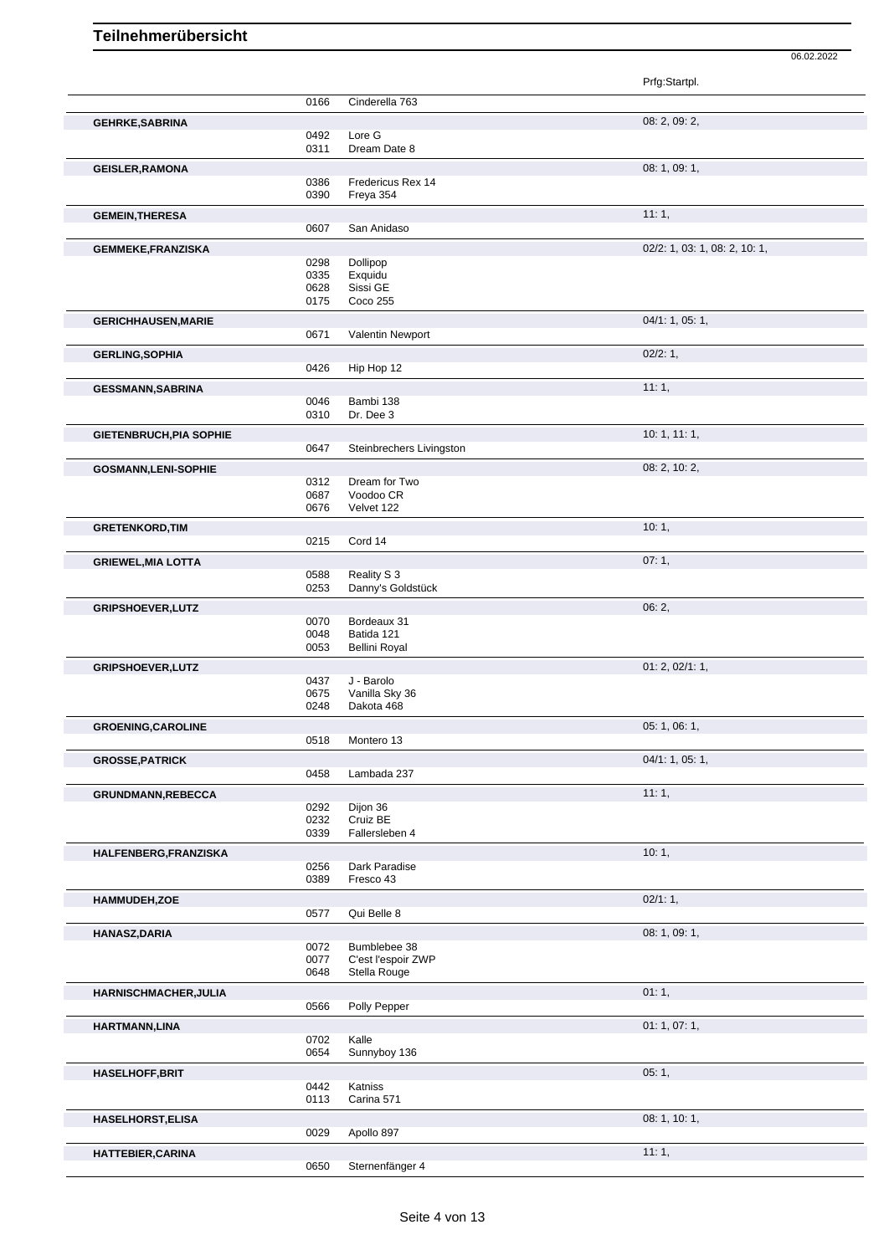|                                |              |                          | Prfg:Startpl.                 |
|--------------------------------|--------------|--------------------------|-------------------------------|
|                                | 0166         | Cinderella 763           |                               |
|                                |              |                          | 08: 2, 09: 2,                 |
| <b>GEHRKE, SABRINA</b>         | 0492         | Lore G                   |                               |
|                                | 0311         | Dream Date 8             |                               |
|                                |              |                          |                               |
| <b>GEISLER, RAMONA</b>         | 0386         | Fredericus Rex 14        | 08:1,09:1,                    |
|                                | 0390         | Freya 354                |                               |
|                                |              |                          |                               |
| <b>GEMEIN, THERESA</b>         |              | San Anidaso              | 11:1,                         |
|                                | 0607         |                          |                               |
| <b>GEMMEKE,FRANZISKA</b>       |              |                          | 02/2: 1, 03: 1, 08: 2, 10: 1, |
|                                | 0298         | Dollipop                 |                               |
|                                | 0335<br>0628 | Exquidu<br>Sissi GE      |                               |
|                                | 0175         | Coco 255                 |                               |
|                                |              |                          | 04/1: 1, 05: 1,               |
| <b>GERICHHAUSEN, MARIE</b>     | 0671         | Valentin Newport         |                               |
|                                |              |                          |                               |
| <b>GERLING, SOPHIA</b>         |              |                          | 02/2:1,                       |
|                                | 0426         | Hip Hop 12               |                               |
| <b>GESSMANN, SABRINA</b>       |              |                          | 11:1,                         |
|                                | 0046         | Bambi 138                |                               |
|                                | 0310         | Dr. Dee 3                |                               |
| <b>GIETENBRUCH, PIA SOPHIE</b> |              |                          | 10:1, 11:1,                   |
|                                | 0647         | Steinbrechers Livingston |                               |
| <b>GOSMANN,LENI-SOPHIE</b>     |              |                          | 08: 2, 10: 2,                 |
|                                | 0312         | Dream for Two            |                               |
|                                | 0687         | Voodoo CR                |                               |
|                                | 0676         | Velvet 122               |                               |
| <b>GRETENKORD, TIM</b>         |              |                          | 10:1,                         |
|                                | 0215         | Cord 14                  |                               |
|                                |              |                          | 07:1,                         |
| <b>GRIEWEL, MIA LOTTA</b>      | 0588         | Reality S 3              |                               |
|                                | 0253         | Danny's Goldstück        |                               |
|                                |              |                          | 06:2,                         |
| <b>GRIPSHOEVER, LUTZ</b>       | 0070         | Bordeaux 31              |                               |
|                                | 0048         | Batida 121               |                               |
|                                | 0053         | <b>Bellini Royal</b>     |                               |
| <b>GRIPSHOEVER, LUTZ</b>       |              |                          | 01: 2, 02/1: 1,               |
|                                | 0437         | J - Barolo               |                               |
|                                | 0675         | Vanilla Sky 36           |                               |
|                                | 0248         | Dakota 468               |                               |
| <b>GROENING, CAROLINE</b>      |              |                          | 05: 1, 06: 1,                 |
|                                | 0518         | Montero 13               |                               |
|                                |              |                          | 04/1: 1, 05: 1,               |
| <b>GROSSE, PATRICK</b>         | 0458         | Lambada 237              |                               |
|                                |              |                          |                               |
| GRUNDMANN, REBECCA             |              |                          | 11:1,                         |
|                                | 0292<br>0232 | Dijon 36<br>Cruiz BE     |                               |
|                                | 0339         | Fallersleben 4           |                               |
|                                |              |                          |                               |
| HALFENBERG, FRANZISKA          | 0256         | Dark Paradise            | 10:1,                         |
|                                | 0389         | Fresco 43                |                               |
|                                |              |                          |                               |
| HAMMUDEH,ZOE                   |              |                          | 02/1:1,                       |
|                                | 0577         | Qui Belle 8              |                               |
| <b>HANASZ, DARIA</b>           |              |                          | 08: 1, 09: 1,                 |
|                                | 0072         | Bumblebee 38             |                               |
|                                | 0077         | C'est l'espoir ZWP       |                               |
|                                | 0648         | Stella Rouge             |                               |
| HARNISCHMACHER, JULIA          |              |                          | 01:1,                         |
|                                | 0566         | Polly Pepper             |                               |
| HARTMANN, LINA                 |              |                          | 01:1,07:1,                    |
|                                | 0702         | Kalle                    |                               |
|                                | 0654         | Sunnyboy 136             |                               |
| <b>HASELHOFF, BRIT</b>         |              |                          | 05:1,                         |
|                                | 0442         | Katniss                  |                               |
|                                | 0113         | Carina 571               |                               |
| <b>HASELHORST, ELISA</b>       |              |                          | 08: 1, 10: 1,                 |
|                                | 0029         | Apollo 897               |                               |
|                                |              |                          | 11:1,                         |
| <b>HATTEBIER, CARINA</b>       | 0650         | Sternenfänger 4          |                               |
|                                |              |                          |                               |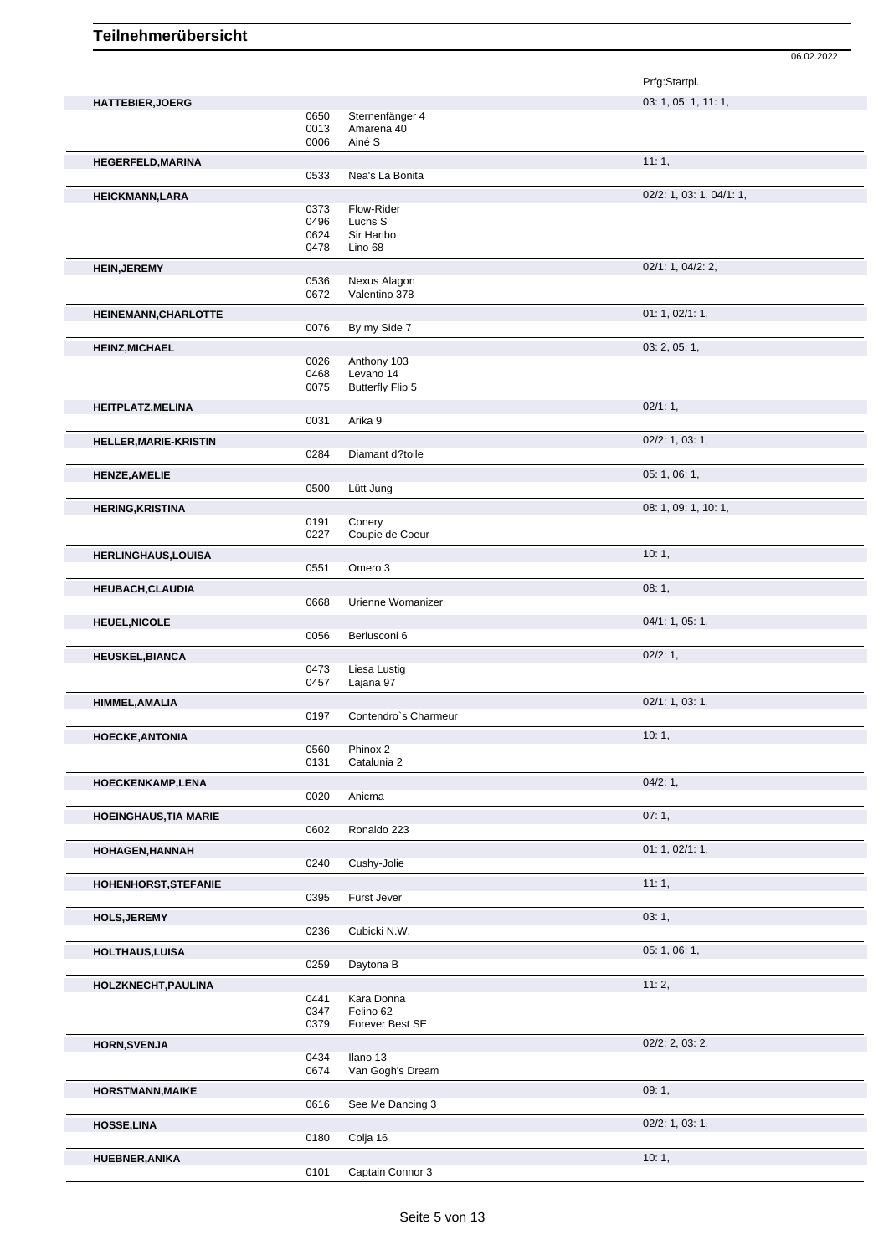|                              |      |                      | Prfg:Startpl.            |  |
|------------------------------|------|----------------------|--------------------------|--|
| <b>HATTEBIER, JOERG</b>      |      |                      | 03: 1, 05: 1, 11: 1,     |  |
|                              | 0650 | Sternenfänger 4      |                          |  |
|                              | 0013 | Amarena 40           |                          |  |
|                              | 0006 | Ainé S               |                          |  |
| <b>HEGERFELD, MARINA</b>     |      |                      | 11:1,                    |  |
|                              | 0533 | Nea's La Bonita      |                          |  |
| <b>HEICKMANN,LARA</b>        |      |                      | 02/2: 1, 03: 1, 04/1: 1, |  |
|                              | 0373 | Flow-Rider           |                          |  |
|                              | 0496 | Luchs S              |                          |  |
|                              | 0624 | Sir Haribo           |                          |  |
|                              | 0478 | Lino 68              |                          |  |
| <b>HEIN, JEREMY</b>          |      |                      | 02/1: 1, 04/2: 2,        |  |
|                              | 0536 | Nexus Alagon         |                          |  |
|                              | 0672 | Valentino 378        |                          |  |
| HEINEMANN, CHARLOTTE         |      |                      | 01: 1, 02/1: 1,          |  |
|                              | 0076 | By my Side 7         |                          |  |
| <b>HEINZ, MICHAEL</b>        |      |                      | 03: 2, 05: 1,            |  |
|                              | 0026 | Anthony 103          |                          |  |
|                              | 0468 | Levano 14            |                          |  |
|                              | 0075 | Butterfly Flip 5     |                          |  |
| HEITPLATZ, MELINA            |      |                      | 02/1:1,                  |  |
|                              | 0031 | Arika 9              |                          |  |
| <b>HELLER, MARIE-KRISTIN</b> |      |                      | 02/2: 1, 03: 1,          |  |
|                              | 0284 | Diamant d?toile      |                          |  |
| <b>HENZE, AMELIE</b>         |      |                      | 05: 1, 06: 1,            |  |
|                              | 0500 | Lütt Jung            |                          |  |
|                              |      |                      | 08: 1, 09: 1, 10: 1,     |  |
| <b>HERING, KRISTINA</b>      | 0191 | Conery               |                          |  |
|                              | 0227 | Coupie de Coeur      |                          |  |
|                              |      |                      | 10:1,                    |  |
| <b>HERLINGHAUS, LOUISA</b>   | 0551 | Omero 3              |                          |  |
|                              |      |                      |                          |  |
| <b>HEUBACH, CLAUDIA</b>      |      |                      | 08:1,                    |  |
|                              | 0668 | Urienne Womanizer    |                          |  |
| <b>HEUEL, NICOLE</b>         |      |                      | 04/1: 1, 05: 1,          |  |
|                              | 0056 | Berlusconi 6         |                          |  |
| <b>HEUSKEL, BIANCA</b>       |      |                      | 02/2:1,                  |  |
|                              | 0473 | Liesa Lustig         |                          |  |
|                              | 0457 | Lajana 97            |                          |  |
| HIMMEL, AMALIA               |      |                      | 02/1: 1, 03: 1,          |  |
|                              | 0197 | Contendro's Charmeur |                          |  |
| <b>HOECKE, ANTONIA</b>       |      |                      | 10:1,                    |  |
|                              | 0560 | Phinox 2             |                          |  |
|                              | 0131 | Catalunia 2          |                          |  |
| HOECKENKAMP, LENA            |      |                      | 04/2:1,                  |  |
|                              | 0020 | Anicma               |                          |  |
| <b>HOEINGHAUS, TIA MARIE</b> |      |                      | 07:1,                    |  |
|                              | 0602 | Ronaldo 223          |                          |  |
| HOHAGEN, HANNAH              |      |                      |                          |  |
|                              |      |                      |                          |  |
|                              |      |                      | 01: 1, 02/1: 1,          |  |
|                              | 0240 | Cushy-Jolie          |                          |  |
| <b>HOHENHORST, STEFANIE</b>  |      |                      | 11:1,                    |  |
|                              | 0395 | Fürst Jever          |                          |  |
| <b>HOLS, JEREMY</b>          |      |                      | 03:1,                    |  |
|                              | 0236 | Cubicki N.W.         |                          |  |
| HOLTHAUS, LUISA              |      |                      | 05: 1, 06: 1,            |  |
|                              | 0259 | Daytona B            |                          |  |
| HOLZKNECHT, PAULINA          |      |                      | 11:2,                    |  |
|                              | 0441 | Kara Donna           |                          |  |
|                              | 0347 | Felino 62            |                          |  |
|                              | 0379 | Forever Best SE      |                          |  |
| <b>HORN, SVENJA</b>          |      |                      | $02/2$ : 2, 03: 2,       |  |
|                              | 0434 | Ilano 13             |                          |  |
|                              | 0674 | Van Gogh's Dream     |                          |  |
| <b>HORSTMANN, MAIKE</b>      |      |                      | 09:1,                    |  |
|                              | 0616 | See Me Dancing 3     |                          |  |
| <b>HOSSE, LINA</b>           |      |                      | 02/2: 1, 03: 1,          |  |
|                              | 0180 | Colja 16             |                          |  |
| HUEBNER, ANIKA               |      |                      | 10:1,                    |  |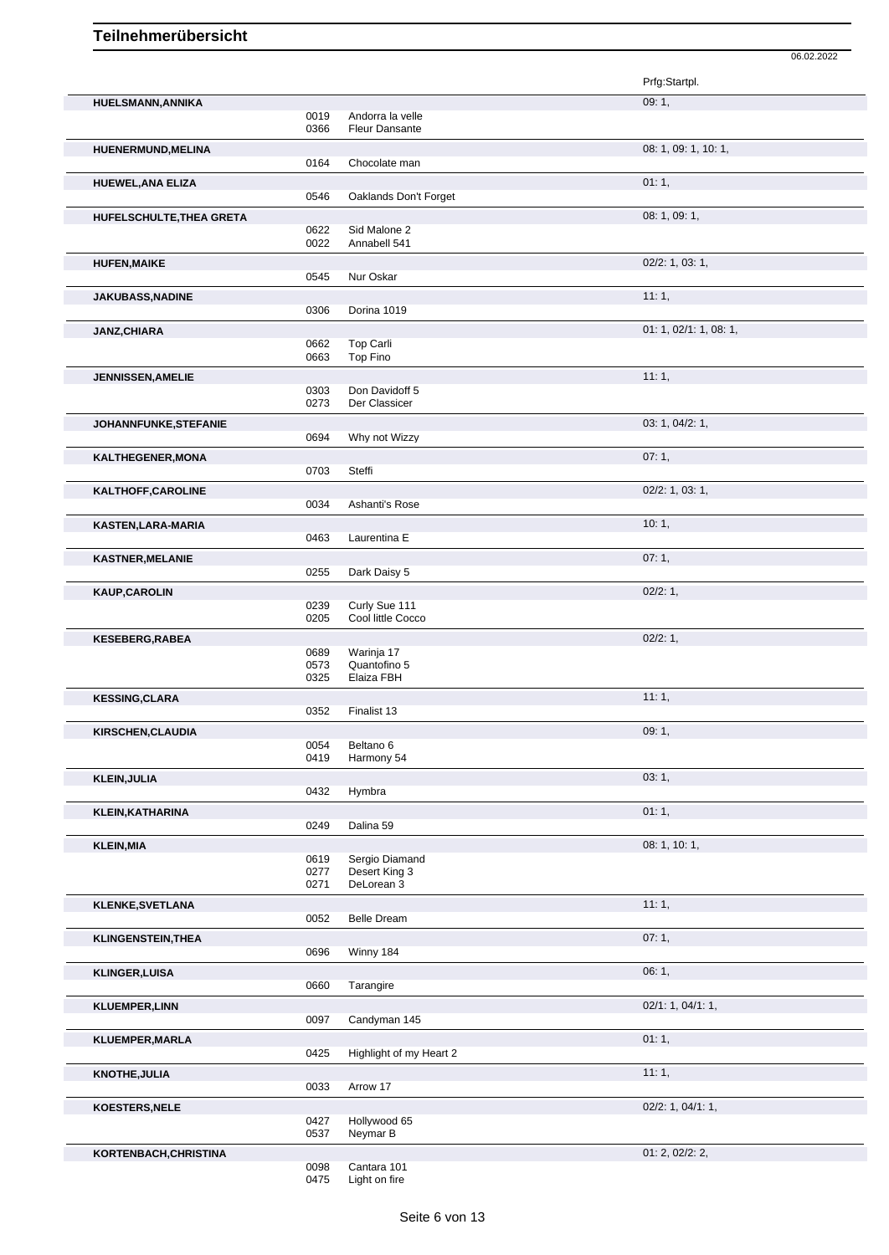| 09:1,<br><b>HUELSMANN, ANNIKA</b><br>0019<br>Andorra la velle<br>0366<br><b>Fleur Dansante</b><br>08: 1, 09: 1, 10: 1,<br>HUENERMUND, MELINA<br>0164<br>Chocolate man<br>01:1,<br><b>HUEWEL, ANA ELIZA</b><br>0546<br>Oaklands Don't Forget<br>08: 1, 09: 1,<br>HUFELSCHULTE, THEA GRETA<br>0622<br>Sid Malone 2<br>0022<br>Annabell 541<br>$02/2$ : 1, 03: 1,<br><b>HUFEN, MAIKE</b><br>Nur Oskar<br>0545<br>11:1,<br><b>JAKUBASS, NADINE</b><br>0306<br>Dorina 1019<br>01: 1, 02/1: 1, 08: 1,<br><b>JANZ, CHIARA</b><br>Top Carli<br>0662<br>0663<br>Top Fino<br>11:1,<br><b>JENNISSEN, AMELIE</b><br>0303<br>Don Davidoff 5<br>0273<br>Der Classicer<br>03: 1, 04/2: 1,<br>JOHANNFUNKE, STEFANIE<br>0694<br>Why not Wizzy<br>07:1,<br>KALTHEGENER, MONA<br>0703<br>Steffi<br>02/2: 1, 03: 1,<br>KALTHOFF, CAROLINE<br>0034<br>Ashanti's Rose<br>10:1,<br>KASTEN, LARA-MARIA<br>0463<br>Laurentina E<br>07:1,<br><b>KASTNER, MELANIE</b><br>0255<br>Dark Daisy 5<br>02/2: 1,<br><b>KAUP, CAROLIN</b><br>Curly Sue 111<br>0239<br>0205<br>Cool little Cocco<br>02/2: 1,<br><b>KESEBERG, RABEA</b><br>0689<br>Warinja 17<br>0573<br>Quantofino 5<br>0325<br>Elaiza FBH<br>11:1,<br><b>KESSING, CLARA</b><br>0352<br>Finalist 13<br>09:1<br><b>KIRSCHEN, CLAUDIA</b><br>Beltano 6<br>0054<br>Harmony 54<br>0419<br>03:1,<br><b>KLEIN, JULIA</b><br>Hymbra<br>0432<br>01:1,<br><b>KLEIN, KATHARINA</b><br>0249<br>Dalina 59<br>08: 1, 10: 1,<br><b>KLEIN, MIA</b><br>Sergio Diamand<br>0619<br>Desert King 3<br>0277<br>DeLorean 3<br>0271<br>11:1,<br><b>KLENKE, SVETLANA</b><br>0052<br><b>Belle Dream</b><br>07:1,<br><b>KLINGENSTEIN, THEA</b><br>Winny 184<br>0696<br>06:1,<br><b>KLINGER, LUISA</b><br>0660<br>Tarangire<br>02/1: 1, 04/1: 1,<br><b>KLUEMPER,LINN</b><br>0097<br>Candyman 145<br>01:1,<br>KLUEMPER, MARLA<br>0425<br>Highlight of my Heart 2<br>11:1,<br><b>KNOTHE, JULIA</b><br>Arrow 17<br>0033<br>02/2: 1, 04/1: 1,<br>KOESTERS, NELE<br>0427<br>Hollywood 65<br>Neymar B<br>0537<br>01: 2, 02/2: 2, |                       |  | Prfg:Startpl. |
|-----------------------------------------------------------------------------------------------------------------------------------------------------------------------------------------------------------------------------------------------------------------------------------------------------------------------------------------------------------------------------------------------------------------------------------------------------------------------------------------------------------------------------------------------------------------------------------------------------------------------------------------------------------------------------------------------------------------------------------------------------------------------------------------------------------------------------------------------------------------------------------------------------------------------------------------------------------------------------------------------------------------------------------------------------------------------------------------------------------------------------------------------------------------------------------------------------------------------------------------------------------------------------------------------------------------------------------------------------------------------------------------------------------------------------------------------------------------------------------------------------------------------------------------------------------------------------------------------------------------------------------------------------------------------------------------------------------------------------------------------------------------------------------------------------------------------------------------------------------------------------------------------------------------------------------------------------------------------------------------------------------------------------|-----------------------|--|---------------|
|                                                                                                                                                                                                                                                                                                                                                                                                                                                                                                                                                                                                                                                                                                                                                                                                                                                                                                                                                                                                                                                                                                                                                                                                                                                                                                                                                                                                                                                                                                                                                                                                                                                                                                                                                                                                                                                                                                                                                                                                                             |                       |  |               |
|                                                                                                                                                                                                                                                                                                                                                                                                                                                                                                                                                                                                                                                                                                                                                                                                                                                                                                                                                                                                                                                                                                                                                                                                                                                                                                                                                                                                                                                                                                                                                                                                                                                                                                                                                                                                                                                                                                                                                                                                                             |                       |  |               |
|                                                                                                                                                                                                                                                                                                                                                                                                                                                                                                                                                                                                                                                                                                                                                                                                                                                                                                                                                                                                                                                                                                                                                                                                                                                                                                                                                                                                                                                                                                                                                                                                                                                                                                                                                                                                                                                                                                                                                                                                                             |                       |  |               |
|                                                                                                                                                                                                                                                                                                                                                                                                                                                                                                                                                                                                                                                                                                                                                                                                                                                                                                                                                                                                                                                                                                                                                                                                                                                                                                                                                                                                                                                                                                                                                                                                                                                                                                                                                                                                                                                                                                                                                                                                                             |                       |  |               |
|                                                                                                                                                                                                                                                                                                                                                                                                                                                                                                                                                                                                                                                                                                                                                                                                                                                                                                                                                                                                                                                                                                                                                                                                                                                                                                                                                                                                                                                                                                                                                                                                                                                                                                                                                                                                                                                                                                                                                                                                                             |                       |  |               |
|                                                                                                                                                                                                                                                                                                                                                                                                                                                                                                                                                                                                                                                                                                                                                                                                                                                                                                                                                                                                                                                                                                                                                                                                                                                                                                                                                                                                                                                                                                                                                                                                                                                                                                                                                                                                                                                                                                                                                                                                                             |                       |  |               |
|                                                                                                                                                                                                                                                                                                                                                                                                                                                                                                                                                                                                                                                                                                                                                                                                                                                                                                                                                                                                                                                                                                                                                                                                                                                                                                                                                                                                                                                                                                                                                                                                                                                                                                                                                                                                                                                                                                                                                                                                                             |                       |  |               |
|                                                                                                                                                                                                                                                                                                                                                                                                                                                                                                                                                                                                                                                                                                                                                                                                                                                                                                                                                                                                                                                                                                                                                                                                                                                                                                                                                                                                                                                                                                                                                                                                                                                                                                                                                                                                                                                                                                                                                                                                                             |                       |  |               |
|                                                                                                                                                                                                                                                                                                                                                                                                                                                                                                                                                                                                                                                                                                                                                                                                                                                                                                                                                                                                                                                                                                                                                                                                                                                                                                                                                                                                                                                                                                                                                                                                                                                                                                                                                                                                                                                                                                                                                                                                                             |                       |  |               |
|                                                                                                                                                                                                                                                                                                                                                                                                                                                                                                                                                                                                                                                                                                                                                                                                                                                                                                                                                                                                                                                                                                                                                                                                                                                                                                                                                                                                                                                                                                                                                                                                                                                                                                                                                                                                                                                                                                                                                                                                                             |                       |  |               |
|                                                                                                                                                                                                                                                                                                                                                                                                                                                                                                                                                                                                                                                                                                                                                                                                                                                                                                                                                                                                                                                                                                                                                                                                                                                                                                                                                                                                                                                                                                                                                                                                                                                                                                                                                                                                                                                                                                                                                                                                                             |                       |  |               |
|                                                                                                                                                                                                                                                                                                                                                                                                                                                                                                                                                                                                                                                                                                                                                                                                                                                                                                                                                                                                                                                                                                                                                                                                                                                                                                                                                                                                                                                                                                                                                                                                                                                                                                                                                                                                                                                                                                                                                                                                                             |                       |  |               |
|                                                                                                                                                                                                                                                                                                                                                                                                                                                                                                                                                                                                                                                                                                                                                                                                                                                                                                                                                                                                                                                                                                                                                                                                                                                                                                                                                                                                                                                                                                                                                                                                                                                                                                                                                                                                                                                                                                                                                                                                                             |                       |  |               |
|                                                                                                                                                                                                                                                                                                                                                                                                                                                                                                                                                                                                                                                                                                                                                                                                                                                                                                                                                                                                                                                                                                                                                                                                                                                                                                                                                                                                                                                                                                                                                                                                                                                                                                                                                                                                                                                                                                                                                                                                                             |                       |  |               |
|                                                                                                                                                                                                                                                                                                                                                                                                                                                                                                                                                                                                                                                                                                                                                                                                                                                                                                                                                                                                                                                                                                                                                                                                                                                                                                                                                                                                                                                                                                                                                                                                                                                                                                                                                                                                                                                                                                                                                                                                                             |                       |  |               |
|                                                                                                                                                                                                                                                                                                                                                                                                                                                                                                                                                                                                                                                                                                                                                                                                                                                                                                                                                                                                                                                                                                                                                                                                                                                                                                                                                                                                                                                                                                                                                                                                                                                                                                                                                                                                                                                                                                                                                                                                                             |                       |  |               |
|                                                                                                                                                                                                                                                                                                                                                                                                                                                                                                                                                                                                                                                                                                                                                                                                                                                                                                                                                                                                                                                                                                                                                                                                                                                                                                                                                                                                                                                                                                                                                                                                                                                                                                                                                                                                                                                                                                                                                                                                                             |                       |  |               |
|                                                                                                                                                                                                                                                                                                                                                                                                                                                                                                                                                                                                                                                                                                                                                                                                                                                                                                                                                                                                                                                                                                                                                                                                                                                                                                                                                                                                                                                                                                                                                                                                                                                                                                                                                                                                                                                                                                                                                                                                                             |                       |  |               |
|                                                                                                                                                                                                                                                                                                                                                                                                                                                                                                                                                                                                                                                                                                                                                                                                                                                                                                                                                                                                                                                                                                                                                                                                                                                                                                                                                                                                                                                                                                                                                                                                                                                                                                                                                                                                                                                                                                                                                                                                                             |                       |  |               |
|                                                                                                                                                                                                                                                                                                                                                                                                                                                                                                                                                                                                                                                                                                                                                                                                                                                                                                                                                                                                                                                                                                                                                                                                                                                                                                                                                                                                                                                                                                                                                                                                                                                                                                                                                                                                                                                                                                                                                                                                                             |                       |  |               |
|                                                                                                                                                                                                                                                                                                                                                                                                                                                                                                                                                                                                                                                                                                                                                                                                                                                                                                                                                                                                                                                                                                                                                                                                                                                                                                                                                                                                                                                                                                                                                                                                                                                                                                                                                                                                                                                                                                                                                                                                                             |                       |  |               |
|                                                                                                                                                                                                                                                                                                                                                                                                                                                                                                                                                                                                                                                                                                                                                                                                                                                                                                                                                                                                                                                                                                                                                                                                                                                                                                                                                                                                                                                                                                                                                                                                                                                                                                                                                                                                                                                                                                                                                                                                                             |                       |  |               |
|                                                                                                                                                                                                                                                                                                                                                                                                                                                                                                                                                                                                                                                                                                                                                                                                                                                                                                                                                                                                                                                                                                                                                                                                                                                                                                                                                                                                                                                                                                                                                                                                                                                                                                                                                                                                                                                                                                                                                                                                                             |                       |  |               |
|                                                                                                                                                                                                                                                                                                                                                                                                                                                                                                                                                                                                                                                                                                                                                                                                                                                                                                                                                                                                                                                                                                                                                                                                                                                                                                                                                                                                                                                                                                                                                                                                                                                                                                                                                                                                                                                                                                                                                                                                                             |                       |  |               |
|                                                                                                                                                                                                                                                                                                                                                                                                                                                                                                                                                                                                                                                                                                                                                                                                                                                                                                                                                                                                                                                                                                                                                                                                                                                                                                                                                                                                                                                                                                                                                                                                                                                                                                                                                                                                                                                                                                                                                                                                                             |                       |  |               |
|                                                                                                                                                                                                                                                                                                                                                                                                                                                                                                                                                                                                                                                                                                                                                                                                                                                                                                                                                                                                                                                                                                                                                                                                                                                                                                                                                                                                                                                                                                                                                                                                                                                                                                                                                                                                                                                                                                                                                                                                                             |                       |  |               |
|                                                                                                                                                                                                                                                                                                                                                                                                                                                                                                                                                                                                                                                                                                                                                                                                                                                                                                                                                                                                                                                                                                                                                                                                                                                                                                                                                                                                                                                                                                                                                                                                                                                                                                                                                                                                                                                                                                                                                                                                                             |                       |  |               |
|                                                                                                                                                                                                                                                                                                                                                                                                                                                                                                                                                                                                                                                                                                                                                                                                                                                                                                                                                                                                                                                                                                                                                                                                                                                                                                                                                                                                                                                                                                                                                                                                                                                                                                                                                                                                                                                                                                                                                                                                                             |                       |  |               |
|                                                                                                                                                                                                                                                                                                                                                                                                                                                                                                                                                                                                                                                                                                                                                                                                                                                                                                                                                                                                                                                                                                                                                                                                                                                                                                                                                                                                                                                                                                                                                                                                                                                                                                                                                                                                                                                                                                                                                                                                                             |                       |  |               |
|                                                                                                                                                                                                                                                                                                                                                                                                                                                                                                                                                                                                                                                                                                                                                                                                                                                                                                                                                                                                                                                                                                                                                                                                                                                                                                                                                                                                                                                                                                                                                                                                                                                                                                                                                                                                                                                                                                                                                                                                                             |                       |  |               |
|                                                                                                                                                                                                                                                                                                                                                                                                                                                                                                                                                                                                                                                                                                                                                                                                                                                                                                                                                                                                                                                                                                                                                                                                                                                                                                                                                                                                                                                                                                                                                                                                                                                                                                                                                                                                                                                                                                                                                                                                                             |                       |  |               |
|                                                                                                                                                                                                                                                                                                                                                                                                                                                                                                                                                                                                                                                                                                                                                                                                                                                                                                                                                                                                                                                                                                                                                                                                                                                                                                                                                                                                                                                                                                                                                                                                                                                                                                                                                                                                                                                                                                                                                                                                                             |                       |  |               |
|                                                                                                                                                                                                                                                                                                                                                                                                                                                                                                                                                                                                                                                                                                                                                                                                                                                                                                                                                                                                                                                                                                                                                                                                                                                                                                                                                                                                                                                                                                                                                                                                                                                                                                                                                                                                                                                                                                                                                                                                                             |                       |  |               |
|                                                                                                                                                                                                                                                                                                                                                                                                                                                                                                                                                                                                                                                                                                                                                                                                                                                                                                                                                                                                                                                                                                                                                                                                                                                                                                                                                                                                                                                                                                                                                                                                                                                                                                                                                                                                                                                                                                                                                                                                                             |                       |  |               |
|                                                                                                                                                                                                                                                                                                                                                                                                                                                                                                                                                                                                                                                                                                                                                                                                                                                                                                                                                                                                                                                                                                                                                                                                                                                                                                                                                                                                                                                                                                                                                                                                                                                                                                                                                                                                                                                                                                                                                                                                                             |                       |  |               |
|                                                                                                                                                                                                                                                                                                                                                                                                                                                                                                                                                                                                                                                                                                                                                                                                                                                                                                                                                                                                                                                                                                                                                                                                                                                                                                                                                                                                                                                                                                                                                                                                                                                                                                                                                                                                                                                                                                                                                                                                                             |                       |  |               |
|                                                                                                                                                                                                                                                                                                                                                                                                                                                                                                                                                                                                                                                                                                                                                                                                                                                                                                                                                                                                                                                                                                                                                                                                                                                                                                                                                                                                                                                                                                                                                                                                                                                                                                                                                                                                                                                                                                                                                                                                                             |                       |  |               |
|                                                                                                                                                                                                                                                                                                                                                                                                                                                                                                                                                                                                                                                                                                                                                                                                                                                                                                                                                                                                                                                                                                                                                                                                                                                                                                                                                                                                                                                                                                                                                                                                                                                                                                                                                                                                                                                                                                                                                                                                                             |                       |  |               |
|                                                                                                                                                                                                                                                                                                                                                                                                                                                                                                                                                                                                                                                                                                                                                                                                                                                                                                                                                                                                                                                                                                                                                                                                                                                                                                                                                                                                                                                                                                                                                                                                                                                                                                                                                                                                                                                                                                                                                                                                                             |                       |  |               |
|                                                                                                                                                                                                                                                                                                                                                                                                                                                                                                                                                                                                                                                                                                                                                                                                                                                                                                                                                                                                                                                                                                                                                                                                                                                                                                                                                                                                                                                                                                                                                                                                                                                                                                                                                                                                                                                                                                                                                                                                                             |                       |  |               |
|                                                                                                                                                                                                                                                                                                                                                                                                                                                                                                                                                                                                                                                                                                                                                                                                                                                                                                                                                                                                                                                                                                                                                                                                                                                                                                                                                                                                                                                                                                                                                                                                                                                                                                                                                                                                                                                                                                                                                                                                                             |                       |  |               |
|                                                                                                                                                                                                                                                                                                                                                                                                                                                                                                                                                                                                                                                                                                                                                                                                                                                                                                                                                                                                                                                                                                                                                                                                                                                                                                                                                                                                                                                                                                                                                                                                                                                                                                                                                                                                                                                                                                                                                                                                                             |                       |  |               |
|                                                                                                                                                                                                                                                                                                                                                                                                                                                                                                                                                                                                                                                                                                                                                                                                                                                                                                                                                                                                                                                                                                                                                                                                                                                                                                                                                                                                                                                                                                                                                                                                                                                                                                                                                                                                                                                                                                                                                                                                                             |                       |  |               |
|                                                                                                                                                                                                                                                                                                                                                                                                                                                                                                                                                                                                                                                                                                                                                                                                                                                                                                                                                                                                                                                                                                                                                                                                                                                                                                                                                                                                                                                                                                                                                                                                                                                                                                                                                                                                                                                                                                                                                                                                                             |                       |  |               |
|                                                                                                                                                                                                                                                                                                                                                                                                                                                                                                                                                                                                                                                                                                                                                                                                                                                                                                                                                                                                                                                                                                                                                                                                                                                                                                                                                                                                                                                                                                                                                                                                                                                                                                                                                                                                                                                                                                                                                                                                                             |                       |  |               |
|                                                                                                                                                                                                                                                                                                                                                                                                                                                                                                                                                                                                                                                                                                                                                                                                                                                                                                                                                                                                                                                                                                                                                                                                                                                                                                                                                                                                                                                                                                                                                                                                                                                                                                                                                                                                                                                                                                                                                                                                                             |                       |  |               |
|                                                                                                                                                                                                                                                                                                                                                                                                                                                                                                                                                                                                                                                                                                                                                                                                                                                                                                                                                                                                                                                                                                                                                                                                                                                                                                                                                                                                                                                                                                                                                                                                                                                                                                                                                                                                                                                                                                                                                                                                                             |                       |  |               |
|                                                                                                                                                                                                                                                                                                                                                                                                                                                                                                                                                                                                                                                                                                                                                                                                                                                                                                                                                                                                                                                                                                                                                                                                                                                                                                                                                                                                                                                                                                                                                                                                                                                                                                                                                                                                                                                                                                                                                                                                                             |                       |  |               |
|                                                                                                                                                                                                                                                                                                                                                                                                                                                                                                                                                                                                                                                                                                                                                                                                                                                                                                                                                                                                                                                                                                                                                                                                                                                                                                                                                                                                                                                                                                                                                                                                                                                                                                                                                                                                                                                                                                                                                                                                                             |                       |  |               |
|                                                                                                                                                                                                                                                                                                                                                                                                                                                                                                                                                                                                                                                                                                                                                                                                                                                                                                                                                                                                                                                                                                                                                                                                                                                                                                                                                                                                                                                                                                                                                                                                                                                                                                                                                                                                                                                                                                                                                                                                                             |                       |  |               |
|                                                                                                                                                                                                                                                                                                                                                                                                                                                                                                                                                                                                                                                                                                                                                                                                                                                                                                                                                                                                                                                                                                                                                                                                                                                                                                                                                                                                                                                                                                                                                                                                                                                                                                                                                                                                                                                                                                                                                                                                                             |                       |  |               |
|                                                                                                                                                                                                                                                                                                                                                                                                                                                                                                                                                                                                                                                                                                                                                                                                                                                                                                                                                                                                                                                                                                                                                                                                                                                                                                                                                                                                                                                                                                                                                                                                                                                                                                                                                                                                                                                                                                                                                                                                                             |                       |  |               |
|                                                                                                                                                                                                                                                                                                                                                                                                                                                                                                                                                                                                                                                                                                                                                                                                                                                                                                                                                                                                                                                                                                                                                                                                                                                                                                                                                                                                                                                                                                                                                                                                                                                                                                                                                                                                                                                                                                                                                                                                                             |                       |  |               |
|                                                                                                                                                                                                                                                                                                                                                                                                                                                                                                                                                                                                                                                                                                                                                                                                                                                                                                                                                                                                                                                                                                                                                                                                                                                                                                                                                                                                                                                                                                                                                                                                                                                                                                                                                                                                                                                                                                                                                                                                                             |                       |  |               |
|                                                                                                                                                                                                                                                                                                                                                                                                                                                                                                                                                                                                                                                                                                                                                                                                                                                                                                                                                                                                                                                                                                                                                                                                                                                                                                                                                                                                                                                                                                                                                                                                                                                                                                                                                                                                                                                                                                                                                                                                                             |                       |  |               |
|                                                                                                                                                                                                                                                                                                                                                                                                                                                                                                                                                                                                                                                                                                                                                                                                                                                                                                                                                                                                                                                                                                                                                                                                                                                                                                                                                                                                                                                                                                                                                                                                                                                                                                                                                                                                                                                                                                                                                                                                                             |                       |  |               |
|                                                                                                                                                                                                                                                                                                                                                                                                                                                                                                                                                                                                                                                                                                                                                                                                                                                                                                                                                                                                                                                                                                                                                                                                                                                                                                                                                                                                                                                                                                                                                                                                                                                                                                                                                                                                                                                                                                                                                                                                                             |                       |  |               |
|                                                                                                                                                                                                                                                                                                                                                                                                                                                                                                                                                                                                                                                                                                                                                                                                                                                                                                                                                                                                                                                                                                                                                                                                                                                                                                                                                                                                                                                                                                                                                                                                                                                                                                                                                                                                                                                                                                                                                                                                                             |                       |  |               |
|                                                                                                                                                                                                                                                                                                                                                                                                                                                                                                                                                                                                                                                                                                                                                                                                                                                                                                                                                                                                                                                                                                                                                                                                                                                                                                                                                                                                                                                                                                                                                                                                                                                                                                                                                                                                                                                                                                                                                                                                                             |                       |  |               |
|                                                                                                                                                                                                                                                                                                                                                                                                                                                                                                                                                                                                                                                                                                                                                                                                                                                                                                                                                                                                                                                                                                                                                                                                                                                                                                                                                                                                                                                                                                                                                                                                                                                                                                                                                                                                                                                                                                                                                                                                                             |                       |  |               |
|                                                                                                                                                                                                                                                                                                                                                                                                                                                                                                                                                                                                                                                                                                                                                                                                                                                                                                                                                                                                                                                                                                                                                                                                                                                                                                                                                                                                                                                                                                                                                                                                                                                                                                                                                                                                                                                                                                                                                                                                                             |                       |  |               |
|                                                                                                                                                                                                                                                                                                                                                                                                                                                                                                                                                                                                                                                                                                                                                                                                                                                                                                                                                                                                                                                                                                                                                                                                                                                                                                                                                                                                                                                                                                                                                                                                                                                                                                                                                                                                                                                                                                                                                                                                                             |                       |  |               |
|                                                                                                                                                                                                                                                                                                                                                                                                                                                                                                                                                                                                                                                                                                                                                                                                                                                                                                                                                                                                                                                                                                                                                                                                                                                                                                                                                                                                                                                                                                                                                                                                                                                                                                                                                                                                                                                                                                                                                                                                                             |                       |  |               |
|                                                                                                                                                                                                                                                                                                                                                                                                                                                                                                                                                                                                                                                                                                                                                                                                                                                                                                                                                                                                                                                                                                                                                                                                                                                                                                                                                                                                                                                                                                                                                                                                                                                                                                                                                                                                                                                                                                                                                                                                                             |                       |  |               |
|                                                                                                                                                                                                                                                                                                                                                                                                                                                                                                                                                                                                                                                                                                                                                                                                                                                                                                                                                                                                                                                                                                                                                                                                                                                                                                                                                                                                                                                                                                                                                                                                                                                                                                                                                                                                                                                                                                                                                                                                                             |                       |  |               |
|                                                                                                                                                                                                                                                                                                                                                                                                                                                                                                                                                                                                                                                                                                                                                                                                                                                                                                                                                                                                                                                                                                                                                                                                                                                                                                                                                                                                                                                                                                                                                                                                                                                                                                                                                                                                                                                                                                                                                                                                                             |                       |  |               |
|                                                                                                                                                                                                                                                                                                                                                                                                                                                                                                                                                                                                                                                                                                                                                                                                                                                                                                                                                                                                                                                                                                                                                                                                                                                                                                                                                                                                                                                                                                                                                                                                                                                                                                                                                                                                                                                                                                                                                                                                                             |                       |  |               |
|                                                                                                                                                                                                                                                                                                                                                                                                                                                                                                                                                                                                                                                                                                                                                                                                                                                                                                                                                                                                                                                                                                                                                                                                                                                                                                                                                                                                                                                                                                                                                                                                                                                                                                                                                                                                                                                                                                                                                                                                                             | KORTENBACH, CHRISTINA |  |               |

06.02.2022

0098 Cantara 101 0475 Light on fire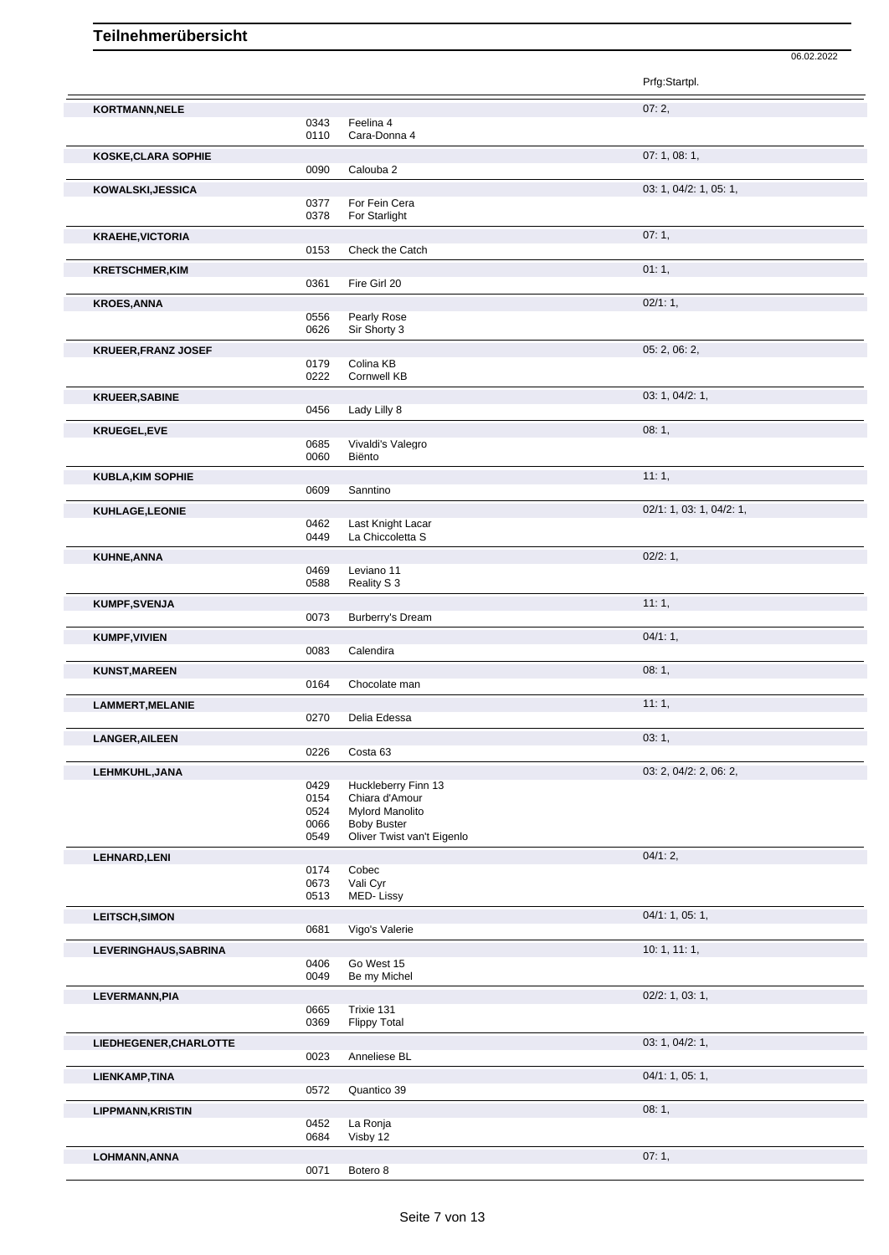|                            |              |                                                  | Prfg:Startpl.            |
|----------------------------|--------------|--------------------------------------------------|--------------------------|
| KORTMANN, NELE             |              |                                                  | 07:2,                    |
|                            | 0343         | Feelina 4                                        |                          |
|                            | 0110         | Cara-Donna 4                                     | 07: 1, 08: 1,            |
| <b>KOSKE, CLARA SOPHIE</b> | 0090         | Calouba 2                                        |                          |
| KOWALSKI, JESSICA          |              |                                                  | 03: 1, 04/2: 1, 05: 1,   |
|                            | 0377         | For Fein Cera                                    |                          |
|                            | 0378         | For Starlight                                    |                          |
| <b>KRAEHE, VICTORIA</b>    | 0153         | Check the Catch                                  | 07:1,                    |
| <b>KRETSCHMER, KIM</b>     |              |                                                  | 01:1,                    |
|                            | 0361         | Fire Girl 20                                     |                          |
| <b>KROES, ANNA</b>         |              |                                                  | 02/1:1,                  |
|                            | 0556<br>0626 | Pearly Rose<br>Sir Shorty 3                      |                          |
| <b>KRUEER, FRANZ JOSEF</b> |              |                                                  | 05: 2, 06: 2,            |
|                            | 0179<br>0222 | Colina KB<br><b>Cornwell KB</b>                  |                          |
| <b>KRUEER, SABINE</b>      |              |                                                  | 03: 1, 04/2: 1,          |
|                            | 0456         | Lady Lilly 8                                     |                          |
| <b>KRUEGEL,EVE</b>         |              |                                                  | 08:1,                    |
|                            | 0685<br>0060 | Vivaldi's Valegro<br>Biënto                      |                          |
|                            |              |                                                  | 11:1,                    |
| <b>KUBLA, KIM SOPHIE</b>   | 0609         | Sanntino                                         |                          |
| KUHLAGE,LEONIE             |              |                                                  | 02/1: 1, 03: 1, 04/2: 1, |
|                            | 0462<br>0449 | Last Knight Lacar<br>La Chiccoletta S            |                          |
| <b>KUHNE, ANNA</b>         |              |                                                  | 02/2:1,                  |
|                            | 0469         | Leviano 11                                       |                          |
|                            | 0588         | Reality S 3                                      |                          |
| <b>KUMPF, SVENJA</b>       | 0073         | Burberry's Dream                                 | 11:1,                    |
| <b>KUMPF, VIVIEN</b>       |              |                                                  | 04/1:1,                  |
|                            | 0083         | Calendira                                        |                          |
| <b>KUNST, MAREEN</b>       |              |                                                  | 08:1,                    |
|                            | 0164         | Chocolate man                                    |                          |
| <b>LAMMERT, MELANIE</b>    | 0270         | Delia Edessa                                     | 11:1,                    |
| <b>LANGER, AILEEN</b>      |              |                                                  | 03:1,                    |
|                            | 0226         | Costa 63                                         |                          |
| LEHMKUHL, JANA             |              |                                                  | 03: 2, 04/2: 2, 06: 2,   |
|                            | 0429<br>0154 | Huckleberry Finn 13<br>Chiara d'Amour            |                          |
|                            | 0524         | <b>Mylord Manolito</b>                           |                          |
|                            | 0066<br>0549 | <b>Boby Buster</b><br>Oliver Twist van't Eigenlo |                          |
| <b>LEHNARD, LENI</b>       |              |                                                  | 04/1:2,                  |
|                            | 0174<br>0673 | Cobec<br>Vali Cyr                                |                          |
|                            | 0513         | MED-Lissy                                        |                          |
| <b>LEITSCH, SIMON</b>      |              |                                                  | 04/1: 1, 05: 1,          |
|                            | 0681         | Vigo's Valerie                                   |                          |
| LEVERINGHAUS, SABRINA      | 0406         | Go West 15                                       | 10:1, 11:1,              |
|                            | 0049         | Be my Michel                                     |                          |
| LEVERMANN, PIA             |              |                                                  | 02/2: 1, 03: 1,          |
|                            | 0665<br>0369 | Trixie 131<br><b>Flippy Total</b>                |                          |
| LIEDHEGENER, CHARLOTTE     |              |                                                  | 03: 1, 04/2: 1,          |
|                            | 0023         | Anneliese BL                                     |                          |
| LIENKAMP, TINA             |              |                                                  | 04/1: 1, 05: 1,          |
|                            | 0572         | Quantico 39                                      |                          |
| <b>LIPPMANN, KRISTIN</b>   | 0452         | La Ronja                                         | 08:1,                    |
|                            | 0684         | Visby 12                                         |                          |
| LOHMANN, ANNA              |              |                                                  | 07:1,                    |
|                            | 0071         | Botero 8                                         |                          |

06.02.2022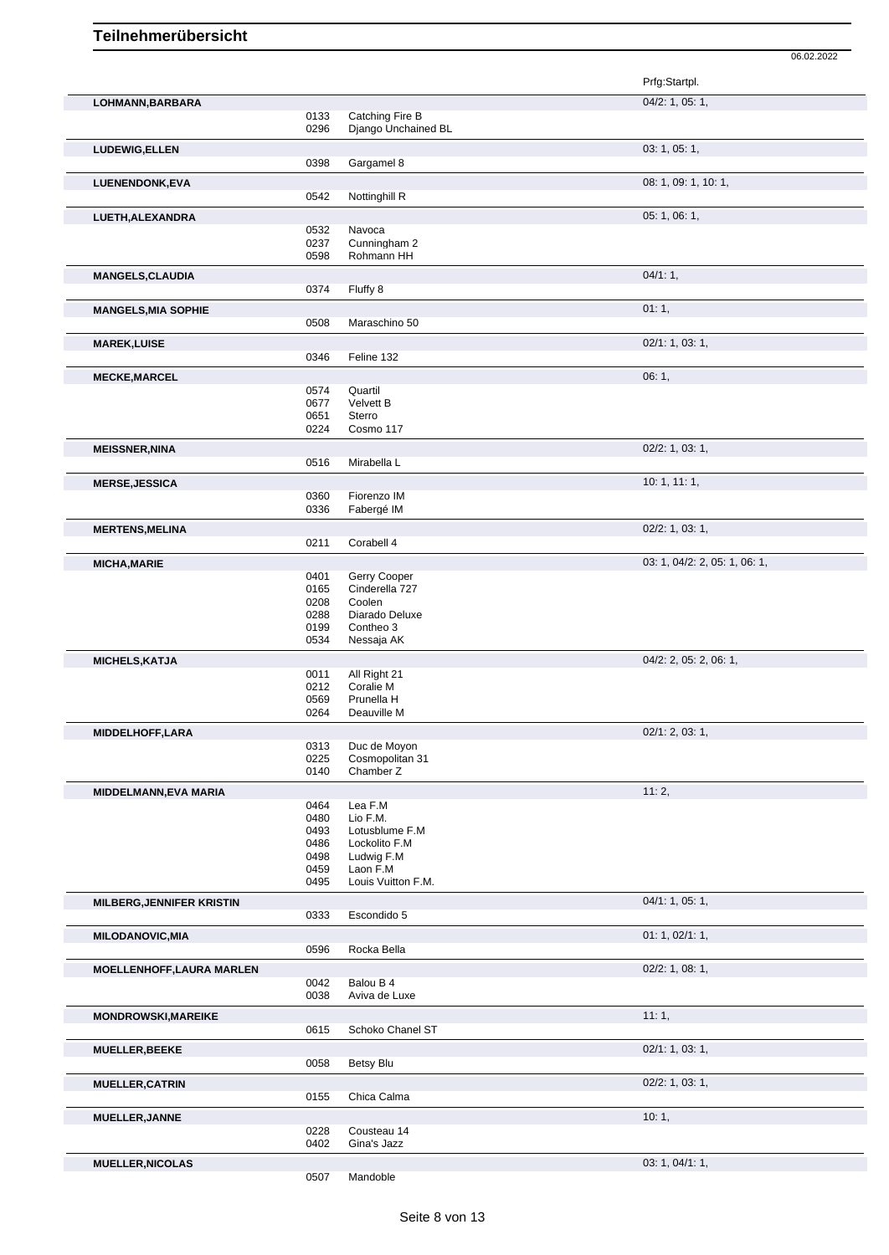Prfg:Startpl. **LOHMANN,BARBARA** 04/2: 1, 05: 1, 0133 Catching Fire B<br>0296 Django Unchain Django Unchained BL **LUDEWIG,ELLEN** 03: 1, 05: 1, 0398 Gargamel 8 **LUENENDONK,EVA** 08: 1, 09: 1, 10: 1, 09: 1, 10: 1, 09: 1, 10: 1, 09: 1, 10: 1, 09: 1, 10: 1, 09: 1, 10: 1, 09: 1, 10: 1, 09: 1, 10: 1, 09: 1, 09: 1, 10: 1, 09: 1, 09: 1, 10: 1, 09: 1, 09: 1, 09: 1, 09: 1, 09: 1, 09: 1, 09 Nottinghill R **LUETH,ALEXANDRA** 05: 1, 06: 1, 0532 Navoca<br>0237 Cunning 0237 Cunningham 2<br>0598 Rohmann HH Rohmann HH **MANGELS, CLAUDIA** 04/1: 1, 0374 Fluffy 8 Fluffy 8 **MANGELS, MIA SOPHIE** 0508 Maraschino 50 Maraschino 50 **MAREK,LUISE** 02/1: 1, 03: 1, 0346 Feline 132 **MECKE,MARCEL** 06: 1, 0574 Quartil 0677 Velvett B Sterro 0224 Cosmo 117 **MEISSNER,NINA** 02/2: 1, 03: 1,<br>
02/2: 1, 03: 1,<br>
0516 Mirabella L Mirabella L **MERSE,JESSICA** 10: 1, 11: 1, 0360 Fiorenzo IM<br>0336 Fabergé IM Fabergé IM **MERTENS,MELINA** 02/2: 1, 03: 1, 0211 Corabell 4 **MICHA, MARIE** 03: 1, 04/2: 2, 05: 1, 06: 1, 06: 1, 06: 1, 06: 1, 06: 1, 06: 1, 06: 1, 06: 1, 06: 1, 06: 1, 06: 1, 06: 1, 06: 1, 06: 1, 06: 1, 06: 1, 06: 1, 06: 1, 06: 1, 06: 1, 06: 1, 06: 1, 06: 1, 06: 1, 06: 1, 06: 1, 06 0401 Gerry Cooper<br>0165 Cinderella 727 0165 Cinderella 727<br>0208 Coolen 0208 Coolen<br>0288 Diarado 0288 Diarado Deluxe<br>0199 Contheo 3 0199 Contheo 3<br>0534 Nessaja Al Nessaja AK **MICHELS, KATJA** 04/2: 2, 05: 2, 06: 1,<br>
04/2: 2, 05: 2, 06: 1, 0011 All Right 21<br>0212 Coralie M 0212 Coralie M<br>0569 Prunella H 0569 Prunella H<br>0264 Deauville M Deauville M **MIDDELHOFF,LARA** 02/1: 2, 03: 1,<br>
0313 Duc de Moyon 0313 Duc de Moyon<br>0225 Cosmopolitan 3 0225 Cosmopolitan 31<br>0140 Chamber Z Chamber 7 **MIDDELMANN,EVA MARIA** 11: 2, 0464 Lea F.M 0480 Lio F.M.<br>0493 Lotusblu 0493 Lotusblume F.M<br>0486 Lockolito F.M Lockolito F.M 0498 Ludwig F.M 0459 Laon F.M 0495 Louis Vuitton F.M. **MILBERG,JENNIFER KRISTIN** 0333 Escondido 5 04/1: 1, 05: 1, Escondido 5 **MILODANOVIC,MIA** 0596 Rocka Bella 0596 Rocka Della 0596 Rocka Della 0596 Rocka Della 0596 Rocka Della 0596 Rocka Della 0596 Rocka Della 0596 Rocka Della 0596 Rocka Della 0596 Rocka Della 0596 Rocka Della 0596 Rocka Della Rocka Bella **MOELLENHOFF, LAURA MARLEN** 0042 Balou B 4 02/2: 1, 08: 1, 0042 Balou B 4<br>0038 Aviva de L Aviva de Luxe **MONDROWSKI, MAREIKE** 11: 1, 0615 Schoko Chanel ST **MUELLER, BEEKE** 02/1: 1, 03: 1, 03: 1, 03: 1, 03: 1, 03: 1, 03: 1, 03: 1, 03: 1, 03: 1, 03: 1, 03: 1, 03: 1, 03: 1, 03: 1, 03: 1, 03: 1, 03: 1, 03: 1, 03: 1, 03: 1, 03: 1, 03: 1, 03: 1, 03: 1, 03: 1, 03: 1, 03: 1, 03: 1, Betsy Blu **MUELLER, CATRIN** 02/2: 1, 03: 1, Chica Calma **MUELLER,JANNE** 10: 1, 1, 228 Cousteau 14 Cousteau 14

06.02.2022

0402 Gina's Jazz

0507 Mandoble

**MUELLER,NICOLAS** 03: 1, 04/1: 1,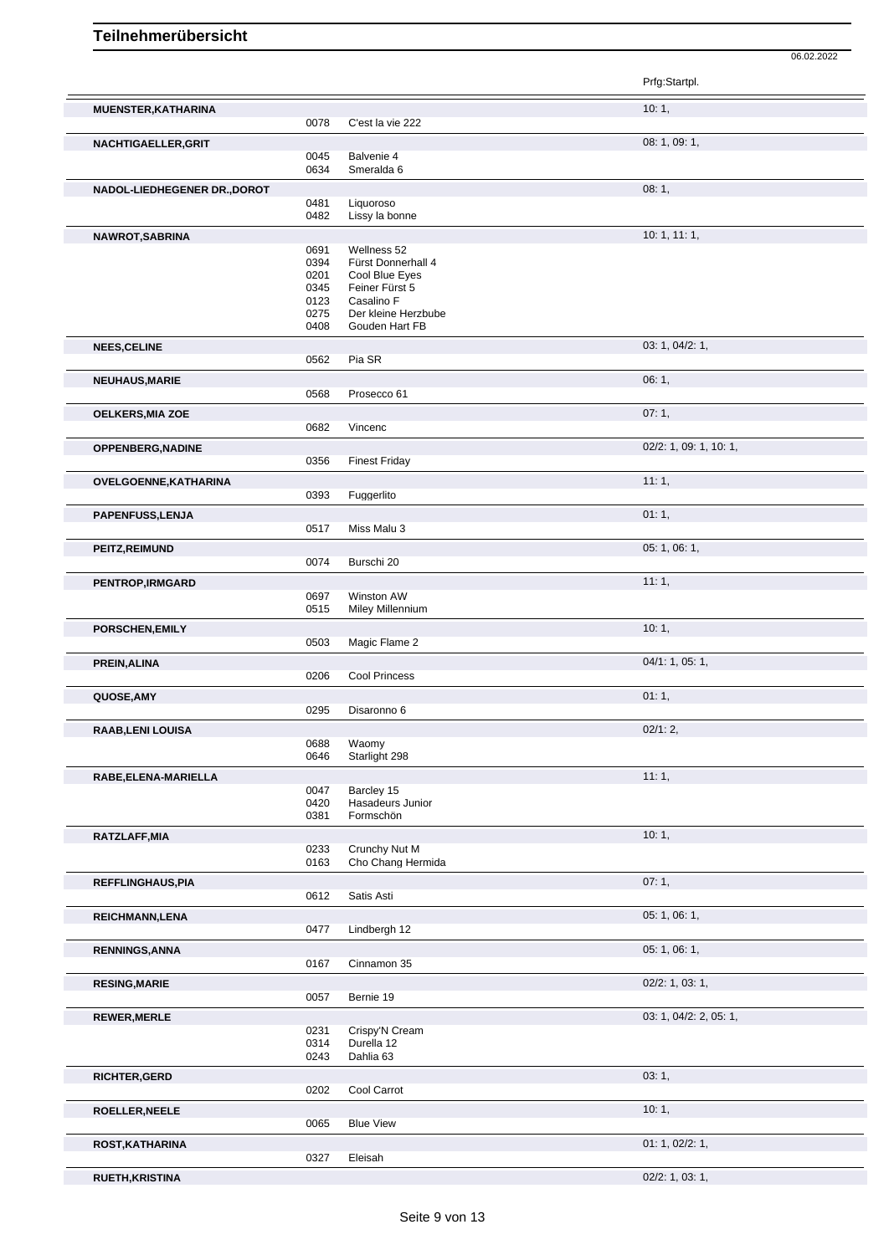Prfg:Startpl. **MUENSTER,KATHARINA** 10: 1, C'est la vie 222 **NACHTIGAELLER,GRIT** 08: 1, 09: 1, 09: 1, 09: 1, 09: 1, 09: 1, 09: 1, 09: 1, 09: 1, 09: 1, 09: 1, 09: 1, 09: 1, 09: 1, 09: 1, 09: 1, 09: 1, 09: 1, 09: 1, 09: 1, 09: 1, 09: 1, 09: 1, 09: 1, 09: 1, 09: 1, 09: 1, 09: 1, 09: 1 0045 Balvenie 4 0634 Smeralda 6 **NADOL-LIEDHEGENER DR.,DOROT** 0481 Liquoroso **1998** 1, 08: 1, Liquoroso 0482 Lissy la bonne **NAWROT,SABRINA** 10: 1, 11: 1, 0691 Wellness 52 0394 Fürst Donnerhall 4 0201 Cool Blue Eyes<br>0345 Feiner Fürst 5 0345 Feiner Fürst 5<br>0123 Casalino F 0123 Casalino F<br>0275 Der kleine I 0275 Der kleine Herzbube<br>0408 Gouden Hart FB Gouden Hart FB **NEES, CELINE** 03: 1, 04/2: 1, 03: 1, 04/2: 1, 0562 Pia SR Pia SR **NEUHAUS,MARIE** 06: 1, 06: 1, 0568 Prosecco 61 Prosecco 61 **OELKERS,MIA ZOE** 07: 1,<br>
07: 1,<br>
0682 Vincenc Vincenc **OPPENBERG,NADINE** 0356 Finest Friday 0356 **Finest Friday** 02/2: 1, 09: 1, 10: 1, **Finest Friday OVELGOENNE, KATHARINA** 11: 1, 0393 Fuggerlito Fuggerlito **PAPENFUSS,LENJA** 01: 1, 0517 Miss Malu 3 Miss Malu 3 **PEITZ, REIMUND** 05: 1, 06: 1, 06: 1, 06: 1, 06: 1, 06: 1, 06: 1, 06: 1, 06: 1, 06: 1, 06: 1, 06: 1, 06: 1, 06: 1, 06: 1, 06: 1, 06: 1, 06: 1, 06: 1, 06: 1, 06: 1, 06: 1, 06: 1, 06: 1, 06: 1, 06: 1, 06: 1, 06: 1, 06: 1, 06 **Burschi 20 PENTROP,IRMGARD** 11: 1, 0697 Winston AW 0515 Miley Millennium **PORSCHEN,EMILY** 10: 1, 1, 2002 **1, 2003** 1, 2004 1, 2004 1, 2004 1, 2004 1, 2004 1, 2004 1, 2004 1, 2004 1, 2004 1, 2004 1, 2004 1, 2004 1, 2004 1, 2004 1, 2004 1, 2004 1, 2004 1, 2004 1, 2004 1, 2004 1, 2004 1, 2004 1, 2 0503 Magic Flame 2 **PREIN,ALINA** 04/1: 1, 05: 1, 0206 Cool Princess **QUOSE,AMY** 01: 1, 0295 Disaronno 6 **RAAB,LENI LOUISA** 02/1: 2, 0688 Waomy<br>0646 Starligh Starlight 298 **RABE,ELENA-MARIELLA** 11: 1, 0047 Barcley 15<br>0420 Hasadeurs 0420 Hasadeurs Junior<br>0381 Formschön Formschön **RATZLAFF, MIA** 10: 1, 2023 Crunchy Nut M<br>0233 Crunchy Nut M 0233 Crunchy Nut M<br>0163 Cho Chang Her Cho Chang Hermida **REFFLINGHAUS, PIA** 07: 1, 0612 Satis Asti Satis Asti **REICHMANN,LENA** 05: 1, 06: 1, 06: 1, 06: 1, 06: 1, 06: 1, 06: 1, 06: 1, 06: 1, 06: 1, 06: 1, 06: 1, 06: 1, 06: 1, 06: 1, 06: 1, 06: 1, 06: 1, 06: 1, 06: 1, 06: 1, 06: 1, 06: 1, 06: 1, 06: 1, 06: 1, 06: 1, 06: 1, 06: 1, 06 Lindbergh 12 **RENNINGS,ANNA** 05: 1, 06: 1, 06: 1, 06: 1, 06: 1, 06: 1, 06: 1, 06: 1, 06: 1, 06: 1, 06: 1, 06: 1, 06: 1, 06: 1, 06: 1, 06: 1, 06: 1, 06: 1, 06: 1, 06: 1, 06: 1, 06: 1, 06: 1, 06: 1, 06: 1, 06: 1, 06: 1, 06: 1, 06: 1, 06: Cinnamon 35 **RESING,MARIE** 02/2: 1, 03: 1, 03: 1, 03: 1, 03: 1, 03: 1, 03: 1, 03: 1, 03: 1, 03: 1, 03: 1, 03: 1, 03: 1, 03: 1, 03: 1, 03: 1, 03: 1, 03: 1, 03: 1, 03: 1, 03: 1, 03: 1, 03: 1, 03: 1, 03: 1, 03: 1, 03: 1, 03: 1, 03: 1, 03 Bernie 19 **REWER,MERLE** 03: 1, 04/2: 2, 05: 1, 0231 Crispy'N Cream<br>0314 Durella 12 Durella 12 0243 Dahlia 63 **RICHTER,GERD** 03: 1, Cool Carrot **ROELLER,NEELE** 10: 1, **Blue View ROST, KATHARINA** 01: 1, 02/2: 1, 02/2: 1, 02/2: 1, 03/27 **Fleisab Eleisah** 

06.02.2022

**RUETH,KRISTINA** 02/2: 1, 03: 1,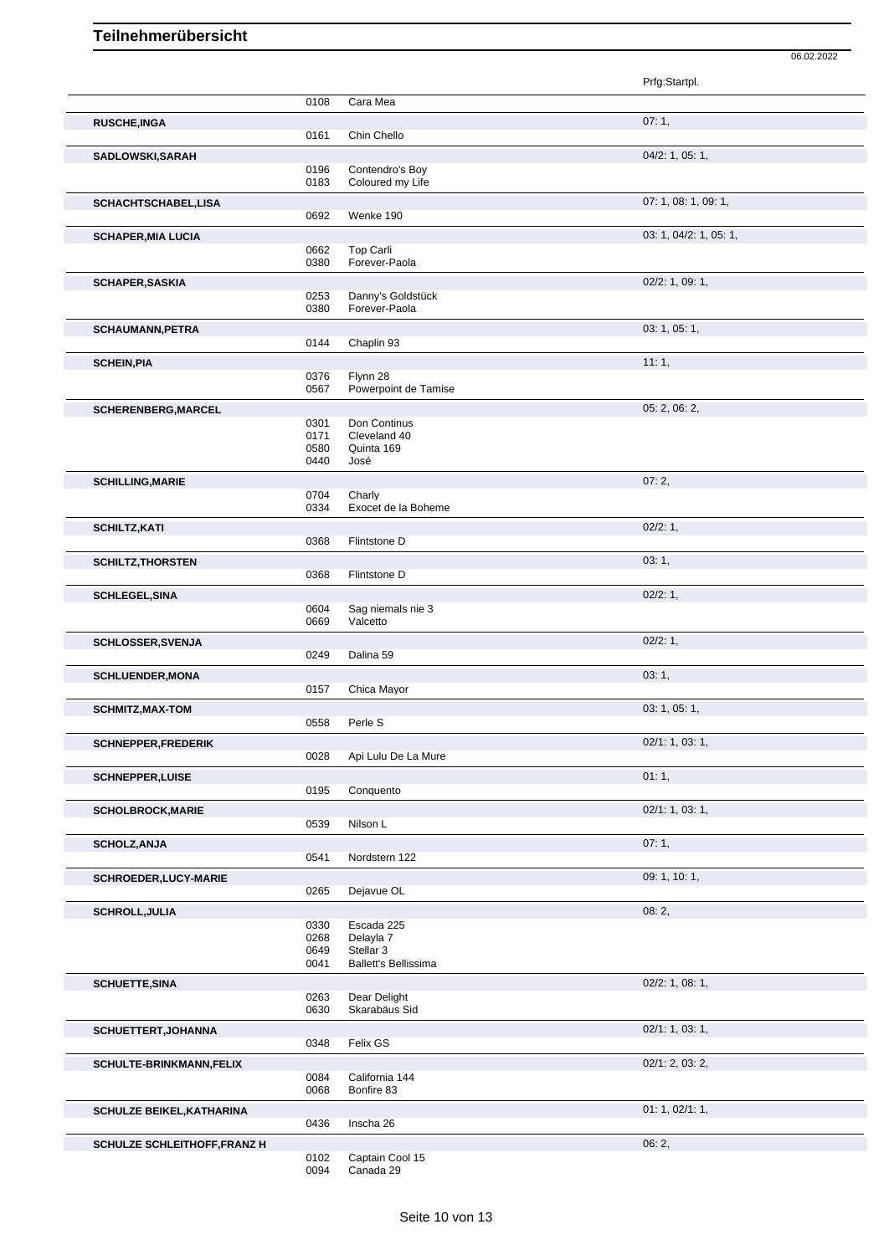|                                     |              |                                   | Prfg:Startpl.          |
|-------------------------------------|--------------|-----------------------------------|------------------------|
|                                     | 0108         | Cara Mea                          |                        |
| <b>RUSCHE, INGA</b>                 |              |                                   | 07:1,                  |
|                                     | 0161         | Chin Chello                       |                        |
| SADLOWSKI, SARAH                    | 0196         | Contendro's Boy                   | 04/2: 1, 05: 1,        |
|                                     | 0183         | Coloured my Life                  |                        |
| SCHACHTSCHABEL,LISA                 |              |                                   | 07: 1, 08: 1, 09: 1,   |
|                                     | 0692         | Wenke 190                         |                        |
| <b>SCHAPER, MIA LUCIA</b>           |              |                                   | 03: 1, 04/2: 1, 05: 1, |
|                                     | 0662<br>0380 | Top Carli<br>Forever-Paola        |                        |
| <b>SCHAPER, SASKIA</b>              |              |                                   | 02/2: 1, 09: 1,        |
|                                     | 0253         | Danny's Goldstück                 |                        |
|                                     | 0380         | Forever-Paola                     |                        |
| <b>SCHAUMANN, PETRA</b>             | 0144         | Chaplin 93                        | 03: 1, 05: 1,          |
| <b>SCHEIN, PIA</b>                  |              |                                   | 11:1,                  |
|                                     | 0376         | Flynn 28                          |                        |
|                                     | 0567         | Powerpoint de Tamise              |                        |
| SCHERENBERG, MARCEL                 | 0301         | Don Continus                      | 05: 2, 06: 2,          |
|                                     | 0171         | Cleveland 40                      |                        |
|                                     | 0580<br>0440 | Quinta 169<br>José                |                        |
|                                     |              |                                   | 07:2,                  |
| <b>SCHILLING, MARIE</b>             | 0704         | Charly                            |                        |
|                                     | 0334         | Exocet de la Boheme               |                        |
| <b>SCHILTZ, KATI</b>                |              |                                   | 02/2:1,                |
|                                     | 0368         | Flintstone D                      |                        |
| <b>SCHILTZ, THORSTEN</b>            | 0368         | Flintstone D                      | 03:1,                  |
| <b>SCHLEGEL, SINA</b>               |              |                                   | 02/2:1,                |
|                                     | 0604         | Sag niemals nie 3                 |                        |
|                                     | 0669         | Valcetto                          |                        |
| <b>SCHLOSSER, SVENJA</b>            | 0249         | Dalina 59                         | 02/2: 1,               |
| <b>SCHLUENDER, MONA</b>             |              |                                   | 03:1,                  |
|                                     | 0157         | Chica Mayor                       |                        |
| <b>SCHMITZ, MAX-TOM</b>             |              |                                   | 03: 1, 05: 1,          |
|                                     | 0558         | Perle S                           |                        |
| <b>SCHNEPPER,FREDERIK</b>           | 0028         | Api Lulu De La Mure               | 02/1: 1, 03: 1,        |
| <b>SCHNEPPER,LUISE</b>              |              |                                   | 01:1,                  |
|                                     | 0195         | Conquento                         |                        |
| <b>SCHOLBROCK, MARIE</b>            |              |                                   | 02/1: 1, 03: 1,        |
|                                     | 0539         | Nilson L                          |                        |
| <b>SCHOLZ, ANJA</b>                 | 0541         | Nordstern 122                     | 07:1,                  |
|                                     |              |                                   |                        |
| <b>SCHROEDER,LUCY-MARIE</b>         | 0265         | Dejavue OL                        | 09: 1, 10: 1,          |
| <b>SCHROLL, JULIA</b>               |              |                                   | 08:2,                  |
|                                     | 0330         | Escada 225                        |                        |
|                                     | 0268<br>0649 | Delayla 7<br>Stellar <sub>3</sub> |                        |
|                                     | 0041         | <b>Ballett's Bellissima</b>       |                        |
| <b>SCHUETTE, SINA</b>               |              |                                   | 02/2: 1, 08: 1,        |
|                                     | 0263<br>0630 | Dear Delight<br>Skarabäus Sid     |                        |
| SCHUETTERT, JOHANNA                 |              |                                   | 02/1: 1, 03: 1,        |
|                                     | 0348         | Felix GS                          |                        |
| <b>SCHULTE-BRINKMANN, FELIX</b>     |              |                                   | 02/1: 2, 03: 2,        |
|                                     | 0084         | California 144                    |                        |
|                                     | 0068         | Bonfire 83                        |                        |
| SCHULZE BEIKEL, KATHARINA           | 0436         | Inscha 26                         | 01: 1, 02/1: 1,        |
| <b>SCHULZE SCHLEITHOFF, FRANZ H</b> |              |                                   | 06:2,                  |
|                                     | 0102         | Captain Cool 15                   |                        |
|                                     | 0094         | Canada 29                         |                        |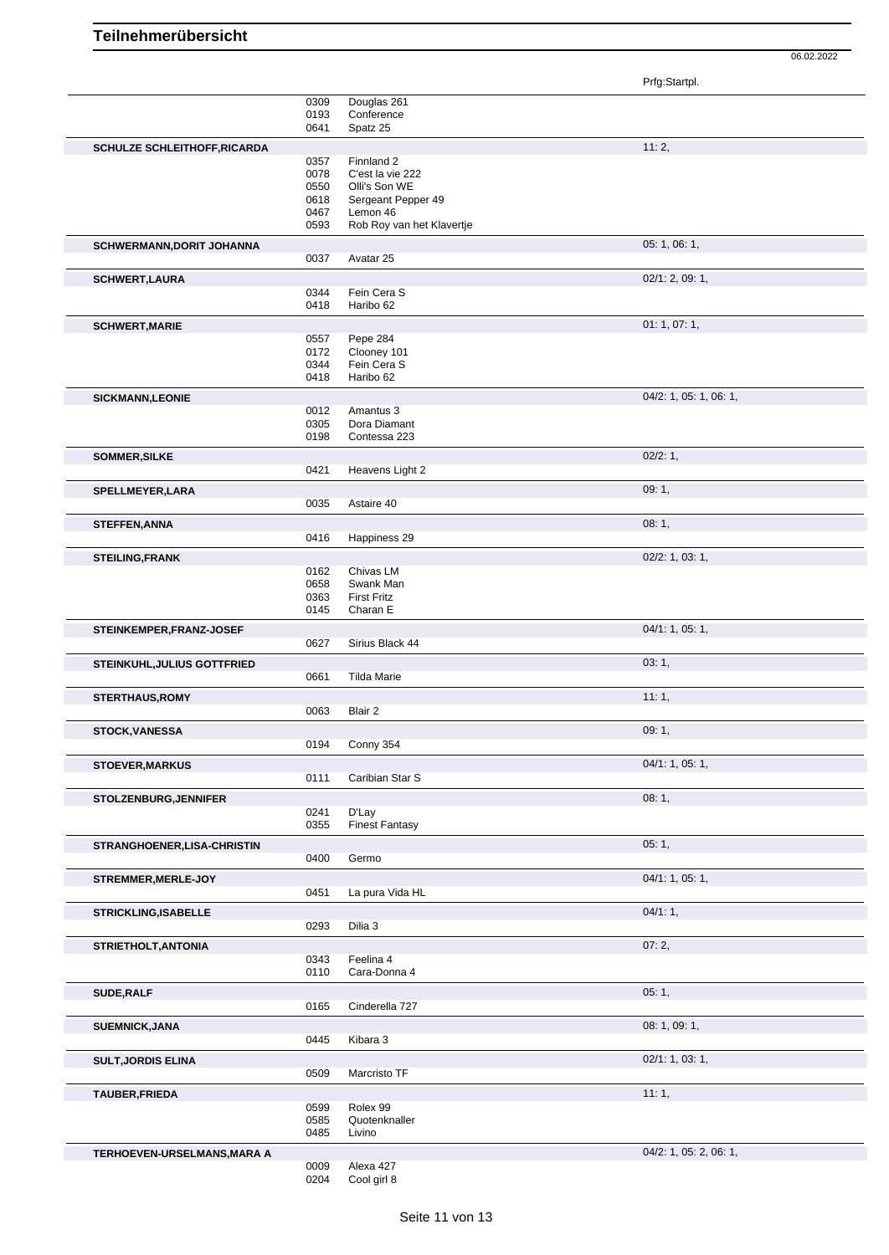|                                     |              |                                       | Prfg:Startpl.             |
|-------------------------------------|--------------|---------------------------------------|---------------------------|
|                                     | 0309         | Douglas 261                           |                           |
|                                     | 0193         | Conference                            |                           |
|                                     | 0641         | Spatz 25                              |                           |
| <b>SCHULZE SCHLEITHOFF, RICARDA</b> |              |                                       | 11:2,                     |
|                                     | 0357         | Finnland 2                            |                           |
|                                     | 0078         | C'est la vie 222                      |                           |
|                                     | 0550         | Olli's Son WE                         |                           |
|                                     | 0618         | Sergeant Pepper 49                    |                           |
|                                     | 0467<br>0593 | Lemon 46<br>Rob Roy van het Klavertje |                           |
|                                     |              |                                       |                           |
| SCHWERMANN, DORIT JOHANNA           |              |                                       | 05: 1, 06: 1,             |
|                                     | 0037         | Avatar 25                             |                           |
| <b>SCHWERT, LAURA</b>               |              |                                       | 02/1: 2, 09: 1,           |
|                                     | 0344         | Fein Cera S                           |                           |
|                                     | 0418         | Haribo 62                             |                           |
| <b>SCHWERT, MARIE</b>               |              |                                       | 01:1,07:1,                |
|                                     | 0557         | Pepe 284                              |                           |
|                                     | 0172         | Clooney 101                           |                           |
|                                     | 0344<br>0418 | Fein Cera S<br>Haribo 62              |                           |
|                                     |              |                                       |                           |
| <b>SICKMANN,LEONIE</b>              |              |                                       | $04/2$ : 1, 05: 1, 06: 1, |
|                                     | 0012<br>0305 | Amantus 3<br>Dora Diamant             |                           |
|                                     | 0198         | Contessa 223                          |                           |
|                                     |              |                                       |                           |
| SOMMER, SILKE                       | 0421         | Heavens Light 2                       | $02/2:1$ ,                |
|                                     |              |                                       |                           |
| SPELLMEYER, LARA                    |              |                                       | 09:1,                     |
|                                     | 0035         | Astaire 40                            |                           |
| <b>STEFFEN, ANNA</b>                |              |                                       | 08:1,                     |
|                                     | 0416         | Happiness 29                          |                           |
| <b>STEILING, FRANK</b>              |              |                                       | $02/2$ : 1, 03: 1,        |
|                                     | 0162         | Chivas LM                             |                           |
|                                     | 0658         | Swank Man                             |                           |
|                                     | 0363         | <b>First Fritz</b>                    |                           |
|                                     | 0145         | Charan E                              |                           |
| STEINKEMPER, FRANZ-JOSEF            |              |                                       | 04/1: 1, 05: 1,           |
|                                     | 0627         | Sirius Black 44                       |                           |
| <b>STEINKUHL, JULIUS GOTTFRIED</b>  |              |                                       | 03:1,                     |
|                                     | 0661         | <b>Tilda Marie</b>                    |                           |
| <b>STERTHAUS, ROMY</b>              |              |                                       | 11:1,                     |
|                                     | 0063         | Blair 2                               |                           |
|                                     |              |                                       | 09:1,                     |
| <b>STOCK, VANESSA</b>               | 0194         | Conny 354                             |                           |
|                                     |              |                                       |                           |
| <b>STOEVER, MARKUS</b>              |              |                                       | 04/1: 1, 05: 1,           |
|                                     | 0111         | Caribian Star S                       |                           |
| STOLZENBURG, JENNIFER               |              |                                       | 08:1,                     |
|                                     | 0241         | D'Lay                                 |                           |
|                                     | 0355         | <b>Finest Fantasy</b>                 |                           |
| STRANGHOENER, LISA-CHRISTIN         |              |                                       | 05:1,                     |
|                                     | 0400         | Germo                                 |                           |
| STREMMER, MERLE-JOY                 |              |                                       | 04/1: 1, 05: 1,           |
|                                     | 0451         | La pura Vida HL                       |                           |
| <b>STRICKLING, ISABELLE</b>         |              |                                       | 04/1:1,                   |
|                                     | 0293         | Dilia 3                               |                           |
|                                     |              |                                       |                           |
| STRIETHOLT, ANTONIA                 |              |                                       | 07:2,                     |
|                                     | 0343         | Feelina 4                             |                           |
|                                     | 0110         | Cara-Donna 4                          |                           |
| SUDE, RALF                          |              |                                       | 05:1,                     |
|                                     | 0165         | Cinderella 727                        |                           |
| <b>SUEMNICK, JANA</b>               |              |                                       | 08: 1, 09: 1,             |
|                                     | 0445         | Kibara 3                              |                           |
| <b>SULT, JORDIS ELINA</b>           |              |                                       | 02/1: 1, 03: 1,           |
|                                     | 0509         | Marcristo TF                          |                           |
|                                     |              |                                       | 11:1,                     |
| TAUBER, FRIEDA                      | 0599         | Rolex 99                              |                           |
|                                     | 0585         | Quotenknaller                         |                           |
|                                     | 0485         | Livino                                |                           |
| TERHOEVEN-URSELMANS, MARA A         |              |                                       | 04/2: 1, 05: 2, 06: 1,    |
|                                     | 0009         | Alexa 427                             |                           |
|                                     | 0204         | Cool girl 8                           |                           |
|                                     |              |                                       |                           |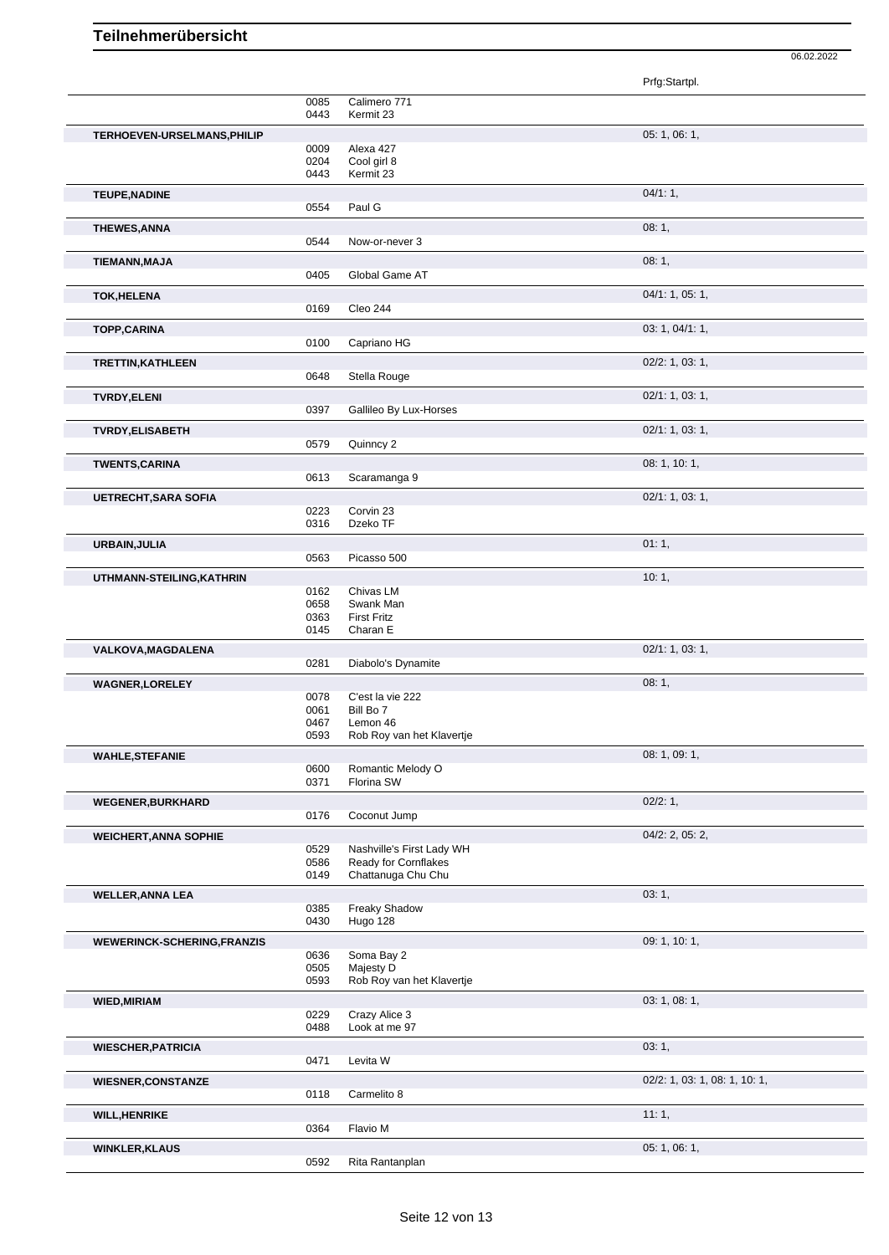|                                   |              |                                                   | Prfg:Startpl.                 |
|-----------------------------------|--------------|---------------------------------------------------|-------------------------------|
|                                   | 0085         | Calimero 771                                      |                               |
|                                   | 0443         | Kermit 23                                         |                               |
| TERHOEVEN-URSELMANS, PHILIP       |              |                                                   | 05: 1, 06: 1,                 |
|                                   | 0009         | Alexa 427                                         |                               |
|                                   | 0204<br>0443 | Cool girl 8<br>Kermit 23                          |                               |
|                                   |              |                                                   |                               |
| <b>TEUPE, NADINE</b>              | 0554         | Paul G                                            | 04/1:1,                       |
|                                   |              |                                                   |                               |
| <b>THEWES, ANNA</b>               | 0544         | Now-or-never 3                                    | 08:1,                         |
| <b>TIEMANN, MAJA</b>              |              |                                                   | 08:1,                         |
|                                   | 0405         | Global Game AT                                    |                               |
| <b>TOK, HELENA</b>                |              |                                                   | 04/1: 1, 05: 1,               |
|                                   | 0169         | Cleo 244                                          |                               |
| <b>TOPP,CARINA</b>                |              |                                                   | 03: 1, 04/1: 1,               |
|                                   | 0100         | Capriano HG                                       |                               |
| <b>TRETTIN, KATHLEEN</b>          |              |                                                   | $02/2$ : 1, 03: 1,            |
|                                   | 0648         | Stella Rouge                                      |                               |
| <b>TVRDY, ELENI</b>               |              |                                                   | 02/1: 1, 03: 1,               |
|                                   | 0397         | Gallileo By Lux-Horses                            |                               |
| <b>TVRDY, ELISABETH</b>           |              |                                                   | 02/1: 1, 03: 1,               |
|                                   | 0579         | Quinncy 2                                         |                               |
| <b>TWENTS, CARINA</b>             |              |                                                   | 08: 1, 10: 1,                 |
|                                   | 0613         | Scaramanga 9                                      |                               |
| <b>UETRECHT, SARA SOFIA</b>       |              |                                                   | 02/1: 1, 03: 1,               |
|                                   | 0223<br>0316 | Corvin 23<br>Dzeko TF                             |                               |
| URBAIN, JULIA                     |              |                                                   | 01:1,                         |
|                                   | 0563         | Picasso 500                                       |                               |
| UTHMANN-STEILING, KATHRIN         |              |                                                   | 10:1,                         |
|                                   | 0162         | Chivas LM                                         |                               |
|                                   | 0658         | Swank Man                                         |                               |
|                                   | 0363<br>0145 | <b>First Fritz</b><br>Charan E                    |                               |
| VALKOVA, MAGDALENA                |              |                                                   | 02/1: 1, 03: 1,               |
|                                   | 0281         | Diabolo's Dynamite                                |                               |
| <b>WAGNER,LORELEY</b>             |              |                                                   | 08:1,                         |
|                                   | 0078         | C'est la vie 222                                  |                               |
|                                   | 0061<br>0467 | Bill Bo 7<br>Lemon 46                             |                               |
|                                   | 0593         | Rob Roy van het Klavertje                         |                               |
| <b>WAHLE, STEFANIE</b>            |              |                                                   | 08: 1, 09: 1,                 |
|                                   | 0600         | Romantic Melody O                                 |                               |
|                                   | 0371         | Florina SW                                        |                               |
| <b>WEGENER, BURKHARD</b>          |              |                                                   | 02/2:1,                       |
|                                   | 0176         | Coconut Jump                                      |                               |
| <b>WEICHERT, ANNA SOPHIE</b>      |              |                                                   | $04/2$ : 2, 05: 2,            |
|                                   | 0529<br>0586 | Nashville's First Lady WH<br>Ready for Cornflakes |                               |
|                                   | 0149         | Chattanuga Chu Chu                                |                               |
| <b>WELLER, ANNA LEA</b>           |              |                                                   | 03:1,                         |
|                                   | 0385         | Freaky Shadow                                     |                               |
|                                   | 0430         | Hugo 128                                          |                               |
| <b>WEWERINCK-SCHERING,FRANZIS</b> |              |                                                   | 09: 1, 10: 1,                 |
|                                   | 0636<br>0505 | Soma Bay 2<br>Majesty D                           |                               |
|                                   | 0593         | Rob Roy van het Klavertje                         |                               |
| <b>WIED, MIRIAM</b>               |              |                                                   | 03: 1, 08: 1,                 |
|                                   | 0229         | Crazy Alice 3                                     |                               |
|                                   | 0488         | Look at me 97                                     |                               |
| <b>WIESCHER, PATRICIA</b>         |              |                                                   | 03:1,                         |
|                                   | 0471         | Levita W                                          |                               |
| <b>WIESNER, CONSTANZE</b>         |              |                                                   | 02/2: 1, 03: 1, 08: 1, 10: 1, |
|                                   | 0118         | Carmelito 8                                       |                               |
| <b>WILL, HENRIKE</b>              |              |                                                   | 11:1,                         |
|                                   | 0364         | Flavio M                                          |                               |
| <b>WINKLER, KLAUS</b>             | 0592         | Rita Rantanplan                                   | 05:1,06:1,                    |
|                                   |              |                                                   |                               |